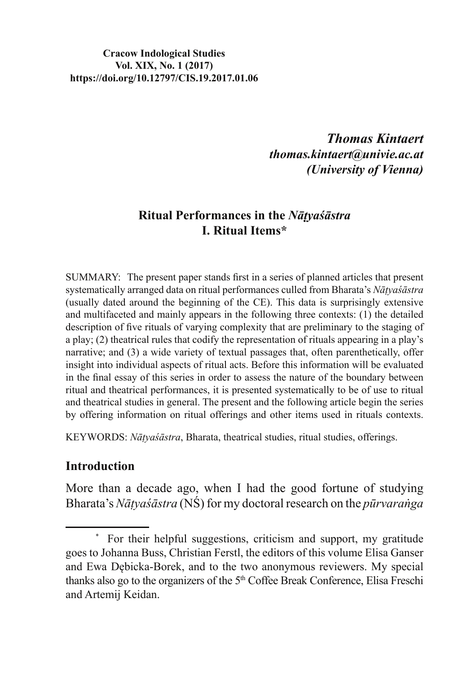#### **Cracow Indological Studies** Vol. XIX, No. 1 (2017) https://doi.org/10.12797/CIS.19.2017.01.06

**Thomas Kintaert** thomas.kintaert@univie.ac.at (University of Vienna)

### Ritual Performances in the Natyasastra **I. Ritual Items\***

SUMMARY: The present paper stands first in a series of planned articles that present systematically arranged data on ritual performances culled from Bharata's Nātvasastra (usually dated around the beginning of the CE). This data is surprisingly extensive and multifaceted and mainly appears in the following three contexts: (1) the detailed description of five rituals of varying complexity that are preliminary to the staging of a play; (2) the atrical rules that codify the representation of rituals appearing in a play's narrative; and (3) a wide variety of textual passages that, often parenthetically, offer insight into individual aspects of ritual acts. Before this information will be evaluated in the final essay of this series in order to assess the nature of the boundary between ritual and theatrical performances, it is presented systematically to be of use to ritual and the atrical studies in general. The present and the following article begin the series by offering information on ritual offerings and other items used in rituals contexts.

KEYWORDS: Nātyasāstra, Bharata, theatrical studies, ritual studies, offerings.

#### **Introduction**

More than a decade ago, when I had the good fortune of studying Bharata's N $\bar{a}$ tyas $\bar{a}$ stra (NS) for my doctoral research on the *pūrvaranga* 

For their helpful suggestions, criticism and support, my gratitude goes to Johanna Buss, Christian Ferstl, the editors of this volume Elisa Ganser and Ewa Debicka-Borek, and to the two anonymous reviewers. My special thanks also go to the organizers of the 5<sup>th</sup> Coffee Break Conference, Elisa Freschi and Artemij Keidan.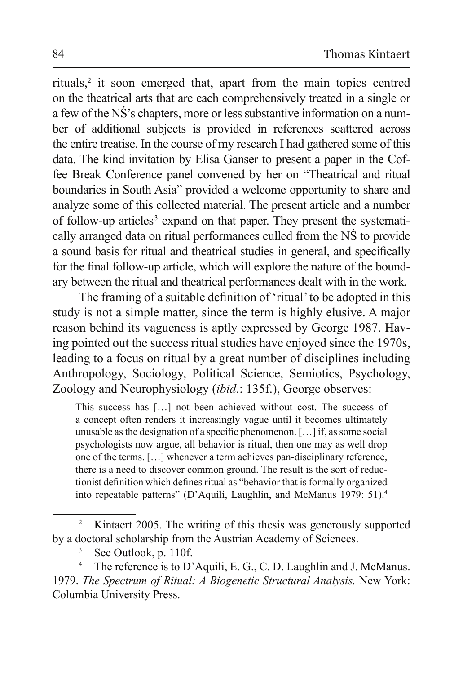rituals,<sup>2</sup> it soon emerged that, apart from the main topics centred on the theatrical arts that are each comprehensively treated in a single or a few of the NS's chapters, more or less substantive information on a number of additional subjects is provided in references scattered across the entire treatise. In the course of my research I had gathered some of this data. The kind invitation by Elisa Ganser to present a paper in the Coffee Break Conference panel convened by her on "Theatrical and ritual boundaries in South Asia" provided a welcome opportunity to share and analyze some of this collected material. The present article and a number of follow-up articles<sup>3</sup> expand on that paper. They present the systematically arranged data on ritual performances culled from the NS to provide a sound basis for ritual and theatrical studies in general, and specifically for the final follow-up article, which will explore the nature of the boundary between the ritual and theatrical performances dealt with in the work.

The framing of a suitable definition of 'ritual' to be adopted in this study is not a simple matter, since the term is highly elusive. A major reason behind its vagueness is aptly expressed by George 1987. Having pointed out the success ritual studies have enjoyed since the 1970s, leading to a focus on ritual by a great number of disciplines including Anthropology, Sociology, Political Science, Semiotics, Psychology, Zoology and Neurophysiology *(ibid.: 135f.)*, George observes:

This success has [...] not been achieved without cost. The success of a concept often renders it increasingly vague until it becomes ultimately unusable as the designation of a specific phenomenon. [...] if, as some social psychologists now argue, all behavior is ritual, then one may as well drop one of the terms. [...] whenever a term achieves pan-disciplinary reference, there is a need to discover common ground. The result is the sort of reductionist definition which defines ritual as "behavior that is formally organized into repeatable patterns" (D'Aquili, Laughlin, and McManus 1979: 51).<sup>4</sup>

 $\overline{2}$ Kintaert 2005. The writing of this thesis was generously supported by a doctoral scholarship from the Austrian Academy of Sciences.

See Outlook, p. 110f.

 $\overline{4}$ The reference is to D'Aquili, E. G., C. D. Laughlin and J. McManus. 1979. The Spectrum of Ritual: A Biogenetic Structural Analysis. New York: Columbia University Press.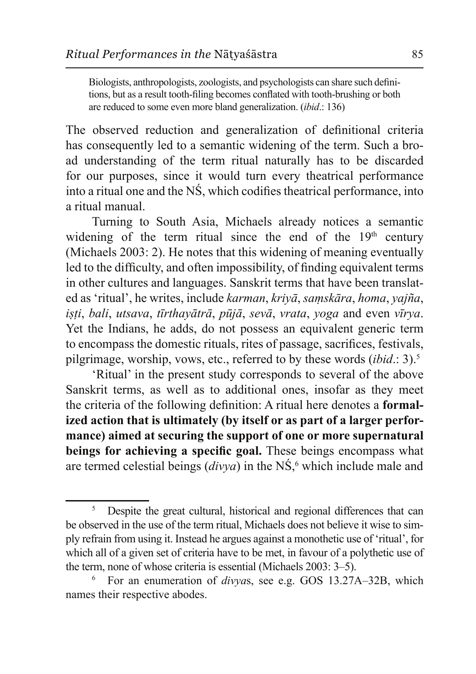Biologists, anthropologists, zoologists, and psychologists can share such definitions, but as a result tooth-filing becomes conflated with tooth-brushing or both are reduced to some even more bland generalization. *(ibid.*: 136)

The observed reduction and generalization of definitional criteria has consequently led to a semantic widening of the term. Such a broad understanding of the term ritual naturally has to be discarded for our purposes, since it would turn every theatrical performance into a ritual one and the NS, which codifies the atrical performance, into a ritual manual.

Turning to South Asia, Michaels already notices a semantic widening of the term ritual since the end of the 19<sup>th</sup> century (Michaels 2003: 2). He notes that this widening of meaning eventually led to the difficulty, and often impossibility, of finding equivalent terms in other cultures and languages. Sanskrit terms that have been translated as 'ritual', he writes, include karman, krivā, samskāra, homa, vajña, isti, bali, utsava, tīrthayātrā, pūjā, sevā, vrata, yoga and even vīrya. Yet the Indians, he adds, do not possess an equivalent generic term to encompass the domestic rituals, rites of passage, sacrifices, festivals, pilgrimage, worship, vows, etc., referred to by these words  $(ibid.: 3).$ <sup>5</sup>

'Ritual' in the present study corresponds to several of the above Sanskrit terms, as well as to additional ones, insofar as they meet the criteria of the following definition: A ritual here denotes a **formal**ized action that is ultimately (by itself or as part of a larger performance) aimed at securing the support of one or more supernatural beings for achieving a specific goal. These beings encompass what are termed celestial beings  $\left(\frac{divya}{dx}\right)$  in the NS,<sup>6</sup> which include male and

<sup>5</sup> Despite the great cultural, historical and regional differences that can be observed in the use of the term ritual, Michaels does not believe it wise to simply refrain from using it. Instead he argues against a monothetic use of 'ritual', for which all of a given set of criteria have to be met, in favour of a polythetic use of the term, none of whose criteria is essential (Michaels 2003: 3–5).

 $\boldsymbol{6}$ For an enumeration of *divyas*, see e.g. GOS 13.27A-32B, which names their respective abodes.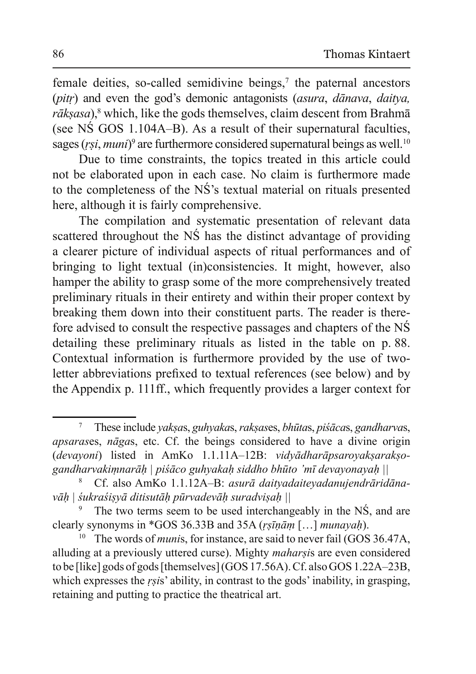female deities, so-called semidivine beings,<sup>7</sup> the paternal ancestors (pitr) and even the god's demonic antagonists (asura, dānava, daitya,  $r\bar{a}$ ksasa),<sup>8</sup> which, like the gods themselves, claim descent from Brahma (see NS GOS 1.104A–B). As a result of their supernatural faculties, sages (*rsi, muni*)<sup>9</sup> are furthermore considered supernatural beings as well.<sup>10</sup>

Due to time constraints, the topics treated in this article could not be elaborated upon in each case. No claim is furthermore made to the completeness of the NS's textual material on rituals presented here, although it is fairly comprehensive.

The compilation and systematic presentation of relevant data scattered throughout the NS has the distinct advantage of providing a clearer picture of individual aspects of ritual performances and of bringing to light textual (in)consistencies. It might, however, also hamper the ability to grasp some of the more comprehensively treated preliminary rituals in their entirety and within their proper context by breaking them down into their constituent parts. The reader is therefore advised to consult the respective passages and chapters of the NS detailing these preliminary rituals as listed in the table on p. 88. Contextual information is furthermore provided by the use of twoletter abbreviations prefixed to textual references (see below) and by the Appendix p. 111ff., which frequently provides a larger context for

 $\overline{7}$ These include *yaksas, guhyakas, raksases, bhūtas, piśācas, gandharvas,* apsarases, nāgas, etc. Cf. the beings considered to have a divine origin (devayoni) listed in AmKo 1.1.11A-12B: vidyādharāpsaroyakşarakşogandharvakimnarāh | piśāco guhyakah siddho bhūto 'mī devavonavah ||

Cf. also AmKo 1.1.12A-B: asurā daityadaiteyadanujendrāridānavāh | śukraśisyā ditisutāh pūrvadevāh suradvisah ||

The two terms seem to be used interchangeably in the NS, and are clearly synonyms in  $*GOS 36.33B$  and 35A ( $r\overline{\text{s}}\overline{\text{m}}\overline{\text{m}}$  [...] munavah).

The words of *munis*, for instance, are said to never fail (GOS 36.47A, alluding at a previously uttered curse). Mighty *maharsis* are even considered to be [like] gods of gods [themselves]  $(GOS 17.56A)$ . Cf. also  $GOS 1.22A-23B$ , which expresses the *rsis*' ability, in contrast to the gods' inability, in grasping, retaining and putting to practice the theatrical art.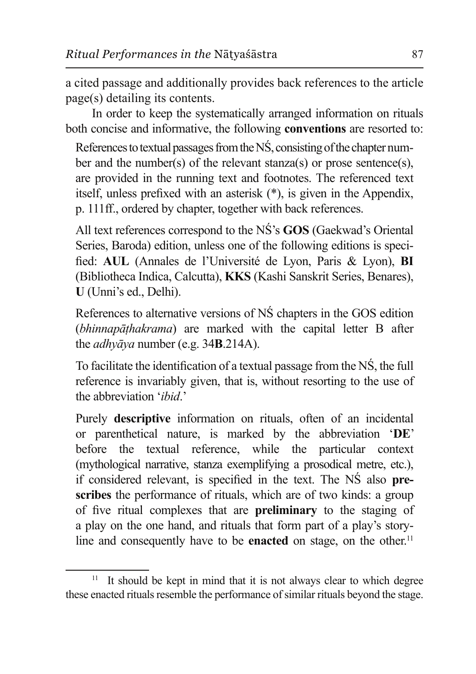a cited passage and additionally provides back references to the article page(s) detailing its contents.

In order to keep the systematically arranged information on rituals both concise and informative, the following **conventions** are resorted to:

References to textual passages from the NS, consisting of the chapter number and the number(s) of the relevant stanza(s) or prose sentence(s). are provided in the running text and footnotes. The referenced text itself, unless prefixed with an asterisk (\*), is given in the Appendix, p. 111ff., ordered by chapter, together with back references.

All text references correspond to the NS's GOS (Gaekwad's Oriental Series, Baroda) edition, unless one of the following editions is specified: AUL (Annales de l'Université de Lyon, Paris & Lyon), BI (Bibliotheca Indica, Calcutta), KKS (Kashi Sanskrit Series, Benares), U (Unni's ed., Delhi).

References to alternative versions of NS chapters in the GOS edition (bhinnapāthakrama) are marked with the capital letter B after the *adhyaya* number (e.g. 34**B**.214A).

To facilitate the identification of a textual passage from the NS, the full reference is invariably given, that is, without resorting to the use of the abbreviation *'ibid'* 

Purely descriptive information on rituals, often of an incidental or parenthetical nature, is marked by the abbreviation 'DE' the textual reference, while the particular before context (mythological narrative, stanza exemplifying a prosodical metre, etc.), if considered relevant, is specified in the text. The NS also prescribes the performance of rituals, which are of two kinds: a group of five ritual complexes that are **preliminary** to the staging of a play on the one hand, and rituals that form part of a play's storyline and consequently have to be **enacted** on stage, on the other.<sup>11</sup>

 $11$ It should be kept in mind that it is not always clear to which degree these enacted rituals resemble the performance of similar rituals beyond the stage.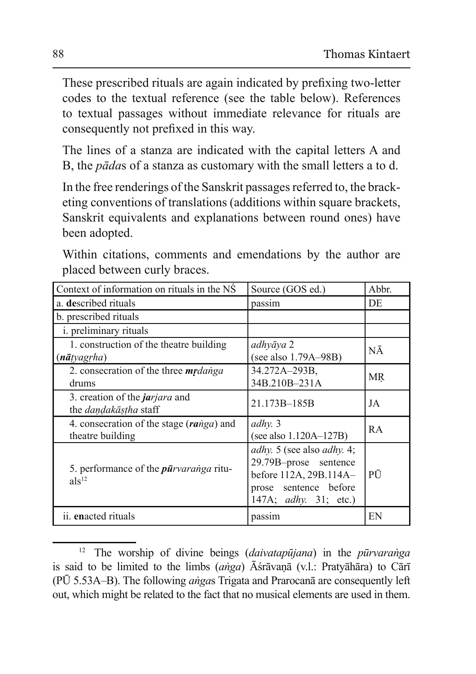These prescribed rituals are again indicated by prefixing two-letter codes to the textual reference (see the table below). References to textual passages without immediate relevance for rituals are consequently not prefixed in this way.

The lines of a stanza are indicated with the capital letters A and B, the *pādas* of a stanza as customary with the small letters a to d.

In the free renderings of the Sanskrit passages referred to, the bracketing conventions of translations (additions within square brackets, Sanskrit equivalents and explanations between round ones) have been adopted.

Within citations, comments and emendations by the author are placed between curly braces.

| Context of information on rituals in the NS                           | Source (GOS ed.)                                                                                                                                      | Abbr. |
|-----------------------------------------------------------------------|-------------------------------------------------------------------------------------------------------------------------------------------------------|-------|
| a. described rituals                                                  | passim                                                                                                                                                | DE    |
| b. prescribed rituals                                                 |                                                                                                                                                       |       |
| <i>i</i> . preliminary rituals                                        |                                                                                                                                                       |       |
| 1. construction of the theatre building<br>$(n\bar{a}$ tyagrha)       | adhyāya 2<br>(see also $1.79A-98B$ )                                                                                                                  | NĀ    |
| 2. consecration of the three <i>mrdanga</i><br>drums                  | 34.272A-293B,<br>34B.210B-231A                                                                                                                        | MR    |
| 3. creation of the <i>jarjara</i> and<br>the dandakāstha staff        | 21.173B-185B                                                                                                                                          | JA    |
| 4. consecration of the stage ( <i>ranga</i> ) and<br>theatre building | adhy. 3<br>(see also 1.120A-127B)                                                                                                                     | RA    |
| 5. performance of the <i>pūrvaranga</i> ritu-<br>als <sup>12</sup>    | <i>adhy.</i> 5 (see also <i>adhy.</i> 4;<br>29.79B-prose sentence<br>before 112A, 29B.114A-<br>prose sentence before<br>147A; <i>adhy</i> . 31; etc.) | PŪ    |
| ii. enacted rituals                                                   | passim                                                                                                                                                | EN    |

<sup>&</sup>lt;sup>12</sup> The worship of divine beings *(daivatapūjana)* in the *pūrvaranga* is said to be limited to the limbs *(anga)* Asravana *(v.l.: Pratyahara)* to Cari (PŪ 5.53A–B). The following *angas* Trigata and Prarocana are consequently left out, which might be related to the fact that no musical elements are used in them.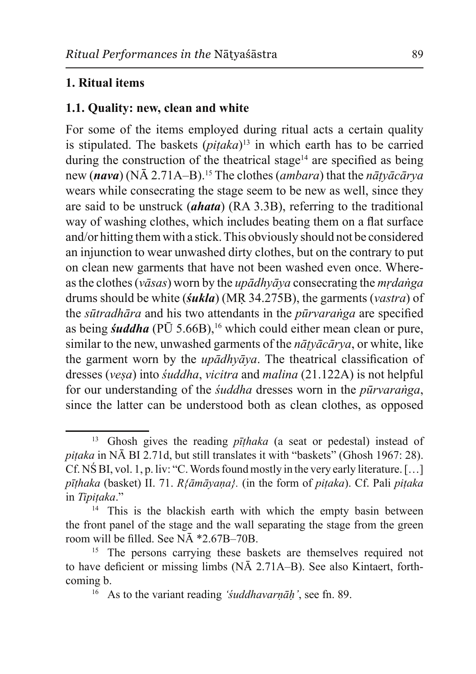### 1. Ritual items

### 1.1. Quality: new, clean and white

For some of the items employed during ritual acts a certain quality is stipulated. The baskets  $(pitaka)^{13}$  in which earth has to be carried during the construction of the theatrical stage<sup>14</sup> are specified as being new (nava) (N $\bar{A}$  2.71A–B).<sup>15</sup> The clothes (ambara) that the natyacarya wears while consecrating the stage seem to be new as well, since they are said to be unstruck *(ahata)* (RA 3.3B), referring to the traditional way of washing clothes, which includes beating them on a flat surface and/or hitting them with a stick. This obviously should not be considered an injunction to wear unwashed dirty clothes, but on the contrary to put on clean new garments that have not been washed even once. Whereas the clothes (vāsas) worn by the *upādhyāya* consecrating the *mrdanga* drums should be white  $(sukla)$  (MR 34.275B), the garments (*vastra*) of the *sūtradhāra* and his two attendants in the *pūrvaranga* are specified as being *suddha* ( $P\overline{U}$  5.66B), <sup>16</sup> which could either mean clean or pure, similar to the new, unwashed garments of the *natyacarya*, or white, like the garment worn by the *upadhyaya*. The theatrical classification of dresses (vesa) into *suddha*, *vicitra* and *malina* (21.122A) is not helpful for our understanding of the *suddha* dresses worn in the *pūrvaranga*. since the latter can be understood both as clean clothes, as opposed

<sup>&</sup>lt;sup>13</sup> Ghosh gives the reading pithaka (a seat or pedestal) instead of *pitaka* in NA BI 2.71d, but still translates it with "baskets" (Ghosh 1967: 28). Cf. NŚ BI, vol. 1, p. liv: "C. Words found mostly in the very early literature. [...]  $p\bar{q}$ thaka (basket) II. 71.  $R\{\bar{a}m\bar{a}yana\}$ . (in the form of pitaka). Cf. Pali pitaka in Tipitaka."

 $14\,$ This is the blackish earth with which the empty basin between the front panel of the stage and the wall separating the stage from the green room will be filled. See  $N\overline{A}$  \*2.67B-70B.

<sup>&</sup>lt;sup>15</sup> The persons carrying these baskets are themselves required not to have deficient or missing limbs (NA 2.71A-B). See also Kintaert, forthcoming b.

<sup>16</sup> As to the variant reading *'suddhavarnah'*, see fn. 89.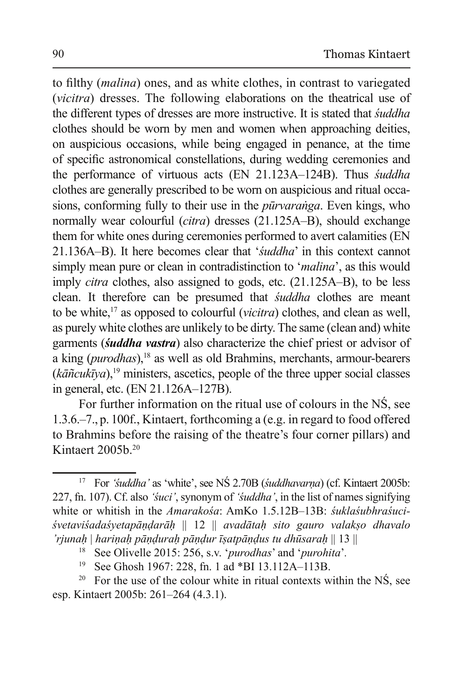to filthy *(malina)* ones, and as white clothes, in contrast to variegated (vicitra) dresses. The following elaborations on the theatrical use of the different types of dresses are more instructive. It is stated that *suddha* clothes should be worn by men and women when approaching deities, on auspicious occasions, while being engaged in penance, at the time of specific astronomical constellations, during wedding ceremonies and the performance of virtuous acts (EN 21.123A-124B). Thus *suddha* clothes are generally prescribed to be worn on auspicious and ritual occasions, conforming fully to their use in the *pūrvaranga*. Even kings, who normally wear colourful *(citra)* dresses (21.125A–B), should exchange them for white ones during ceremonies performed to avert calamities (EN) 21.136A–B). It here becomes clear that 'suddha' in this context cannot simply mean pure or clean in contradistinction to '*malina*', as this would imply *citra* clothes, also assigned to gods, etc. (21.125A–B), to be less clean. It therefore can be presumed that *suddha* clothes are meant to be white,<sup>17</sup> as opposed to colourful (*vicitra*) clothes, and clean as well, as purely white clothes are unlikely to be dirty. The same (clean and) white garments (suddha vastra) also characterize the chief priest or advisor of a king  $(purodhas)$ ,<sup>18</sup> as well as old Brahmins, merchants, armour-bearers  $(k\bar{a}\tilde{n}cuk\bar{v}a)$ ,<sup>19</sup> ministers, ascetics, people of the three upper social classes in general, etc. (EN 21.126A-127B).

For further information on the ritual use of colours in the NS, see 1.3.6.–7., p. 100f., Kintaert, forthcoming a (e.g. in regard to food offered to Brahmins before the raising of the theatre's four corner pillars) and Kintaert 2005b.<sup>20</sup>

For 'suddha' as 'white', see NS 2.70B (suddhavarna) (cf. Kintaert 2005b:  $17\,$ 227, fn. 107). Cf. also 'suci', synonym of 'suddha', in the list of names signifying white or whitish in the Amarakośa: AmKo 1.5.12B-13B: śuklaśubhraśuci- $\dot{s}$ vetavisadas vetapāņdarāh  $\parallel$  12  $\parallel$  avadātah sito gauro valakso dhavalo  $'$ rjunah | harinah pāndurah pāndur īsatpāndus tu dhūsarah  $\parallel$  13  $\parallel$ 

<sup>&</sup>lt;sup>18</sup> See Olivelle 2015: 256, s.v. '*purodhas*' and '*purohita*'.

See Ghosh 1967: 228, fn. 1 ad \*BI 13.112A-113B.  $19\,$ 

For the use of the colour white in ritual contexts within the NS, see 20 esp. Kintaert 2005b: 261–264 (4.3.1).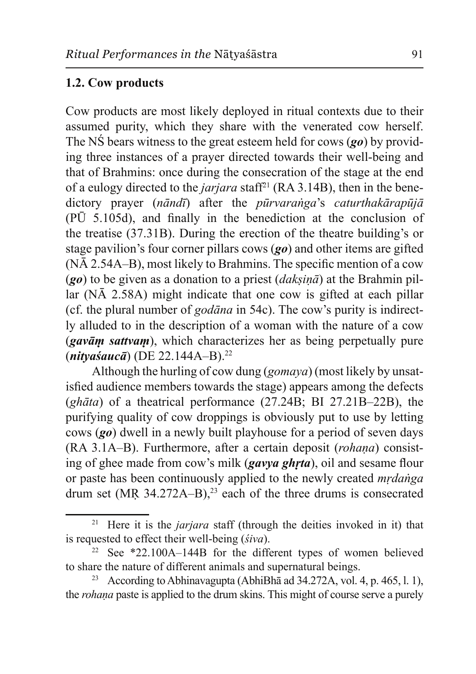### 1.2. Cow products

Cow products are most likely deployed in ritual contexts due to their assumed purity, which they share with the venerated cow herself. The NS bears witness to the great esteem held for cows  $(g_0)$  by providing three instances of a prayer directed towards their well-being and that of Brahmins: once during the consecration of the stage at the end of a eulogy directed to the *jarjara* staff<sup>21</sup> (RA 3.14B), then in the benedictory prayer (nāndī) after the pūrvaranga's caturthakārapūjā  $(PI\bar{U} 5.105d)$ , and finally in the benediction at the conclusion of the treatise (37.31B). During the erection of the theatre building's or stage pavilion's four corner pillars cows  $(g_0)$  and other items are gifted (NA 2.54A–B), most likely to Brahmins. The specific mention of a cow (go) to be given as a donation to a priest  $(daksin\bar{a})$  at the Brahmin pillar  $(N\bar{A} 2.58A)$  might indicate that one cow is gifted at each pillar (cf. the plural number of *godana* in 54c). The cow's purity is indirectly alluded to in the description of a woman with the nature of a cow  $(gav\bar{a}m sattvam)$ , which characterizes her as being perpetually pure (*nityaśaucā*) (DE 22.144A-B).<sup>22</sup>

Although the hurling of cow dung (*gomaya*) (most likely by unsatisfied audience members towards the stage) appears among the defects  $(gh\bar{a}ta)$  of a theatrical performance  $(27.24B; BI 27.21B-22B)$ , the purifying quality of cow droppings is obviously put to use by letting cows  $(go)$  dwell in a newly built playhouse for a period of seven days (RA 3.1A–B). Furthermore, after a certain deposit (rohana) consisting of ghee made from cow's milk (*gavya ghrta*), oil and sesame flour or paste has been continuously applied to the newly created *mrdanga* drum set  $(MR 34.272A-B)$ ,<sup>23</sup> each of the three drums is consecrated

<sup>21</sup> Here it is the *jarjara* staff (through the deities invoked in it) that is requested to effect their well-being (*siva*).

See \*22.100A-144B for the different types of women believed to share the nature of different animals and supernatural beings.

According to Abhinavagupta (AbhiBha ad 34.272A, vol. 4, p. 465, l. 1), 23 the *rohana* paste is applied to the drum skins. This might of course serve a purely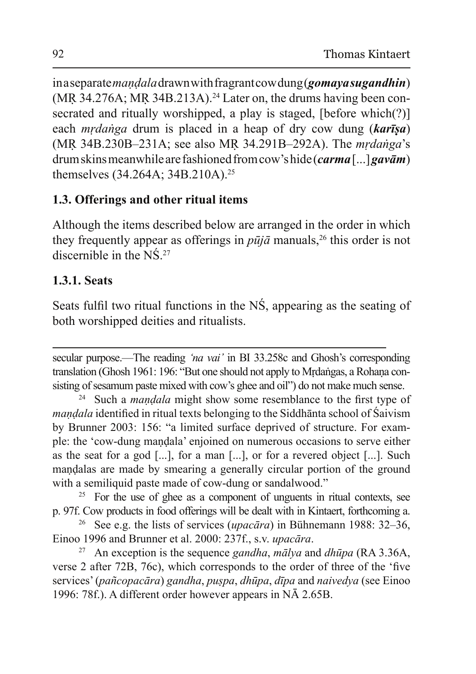inaseparate *mandala* drawn with fragrant cow dung (*gomaya sugandhin*)  $(MR 34.276A; MR 34B.213A).<sup>24</sup> Later on, the drums having been con$ secrated and ritually worshipped, a play is staged, [before which $(?)$ ] each *mrdanga* drum is placed in a heap of dry cow dung (**kart**sa) (MR 34B.230B-231A; see also MR 34.291B-292A). The *mrdanga*'s drum skins meanwhile are fashioned from cow's hide *(carma* [*...*] *gavām*) themselves  $(34.264A; 34B.210A)^{25}$ 

## **1.3. Offerings and other ritual items**

Although the items described below are arranged in the order in which they frequently appear as offerings in  $p\bar{u}i\bar{a}$  manuals, <sup>26</sup> this order is not discernible in the  $N\acute{S}$ .<sup>27</sup>

# **1.3.1. Seats**

Seats fulfil two ritual functions in the NS, appearing as the seating of both worshipped deities and ritualists.

secular purpose.—The reading 'na vai' in BI 33.258c and Ghosh's corresponding translation (Ghosh 1961: 196: "But one should not apply to Mrdangas, a Rohana consisting of sesamum paste mixed with cow's ghee and oil" do not make much sense.

<sup>24</sup> Such a *mandala* might show some resemblance to the first type of *mandala* identified in ritual texts belonging to the Siddhanta school of Saivism by Brunner 2003: 156: "a limited surface deprived of structure. For example: the 'cow-dung mandala' enjoined on numerous occasions to serve either as the seat for a god [...], for a man [...], or for a revered object [...]. Such mandalas are made by smearing a generally circular portion of the ground with a semiliquid paste made of cow-dung or sandalwood."

<sup>25</sup> For the use of ghee as a component of unguents in ritual contexts, see p. 97f. Cow products in food offerings will be dealt with in Kintaert, forthcoming a.

<sup>26</sup> See e.g. the lists of services (*upacāra*) in Bühnemann 1988: 32–36, Einoo 1996 and Brunner et al. 2000: 237f., s.v. *upacāra*.

<sup>27</sup> An exception is the sequence *gandha*, *mālya* and *dhūpa* (RA 3.36A, verse 2 after 72B, 76c), which corresponds to the order of three of the 'five services' (pañcopacāra) gandha, puṣpa, dhūpa, dīpa and naivedya (see Einoo 1996: 78f.). A different order however appears in  $N\bar{A}$  2.65B.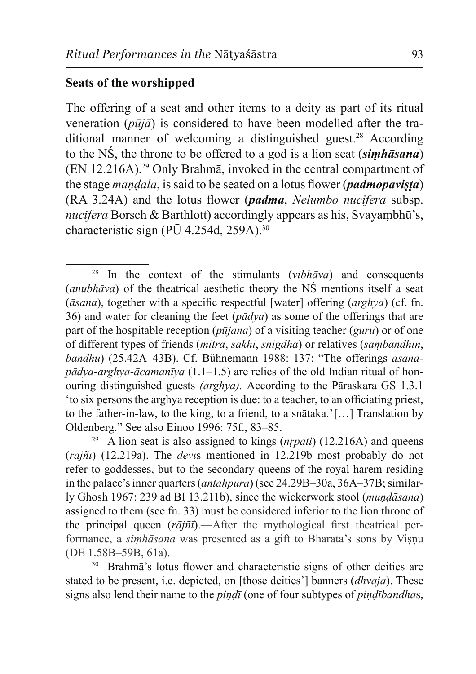#### **Seats of the worshipped**

The offering of a seat and other items to a deity as part of its ritual veneration ( $p\bar{u}j\bar{a}$ ) is considered to have been modelled after the traditional manner of welcoming a distinguished guest.<sup>28</sup> According to the NS, the throne to be offered to a god is a lion seat  $(\sinh \bar{a} \sinh \bar{a})$ (EN 12.216A).<sup>29</sup> Only Brahma, invoked in the central compartment of the stage *mandala*, is said to be seated on a lotus flower *(padmopavista)* (RA 3.24A) and the lotus flower (*padma*, *Nelumbo nucifera* subsp. *nucifera* Borsch & Barthlott) accordingly appears as his, Svayambhū's, characteristic sign (PŪ 4.254d, 259A).<sup>30</sup>

<sup>28</sup> In the context of the stimulants ( $vibh\bar{a}va$ ) and consequents *(anubhava)* of the theatrical aesthetic theory the NS mentions itself a seat  $(\bar{a} \text{sigma})$ , together with a specific respectful [water] offering  $(\text{arghva})$  (cf. fn. 36) and water for cleaning the feet  $(p\bar{a}dya)$  as some of the offerings that are part of the hospitable reception (*pūjana*) of a visiting teacher (*guru*) or of one of different types of friends (*mitra, sakhi, snigdha*) or relatives (*sambandhin*, bandhu) (25.42A-43B). Cf. Bühnemann 1988: 137: "The offerings  $\bar{a}$ sana $p\bar{a}dv$  a-arghva- $\bar{a}c$  amantiva (1.1–1.5) are relics of the old Indian ritual of honouring distinguished guests *(arghya)*. According to the Pāraskara GS 1.3.1 'to six persons the arghya reception is due: to a teacher, to an officiating priest, to the father-in-law, to the king, to a friend, to a snataka.'[...] Translation by Oldenberg." See also Einoo 1996: 75f., 83–85.

A lion seat is also assigned to kings *(nrpati)* (12.216A) and queens  $(r\bar{a}j\tilde{n}\bar{\imath})$  (12.219a). The *dev* $\bar{\imath}$ s mentioned in 12.219b most probably do not refer to goddesses, but to the secondary queens of the royal harem residing in the palace's inner quarters (*antahpura*) (see 24.29B–30a, 36A–37B; similarly Ghosh 1967: 239 ad BI 13.211b), since the wickerwork stool (mundāsana) assigned to them (see fn. 33) must be considered inferior to the lion throne of the principal queen  $(r\bar{a}j\tilde{n}\bar{n})$ . After the mythological first theatrical performance, a *simhāsana* was presented as a gift to Bharata's sons by Visnu (DE 1.58B-59B, 61a).

<sup>&</sup>lt;sup>30</sup> Brahma's lotus flower and characteristic signs of other deities are stated to be present, i.e. depicted, on [those deities'] banners *(dhvaja)*. These signs also lend their name to the *pind* (one of four subtypes of *pindle bandhas*,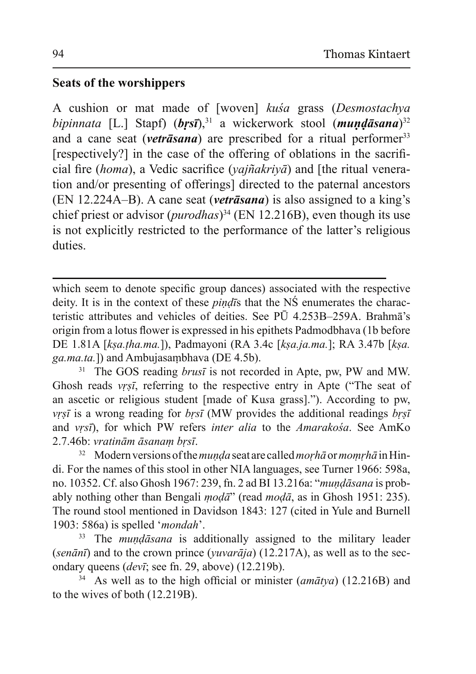#### **Seats of the worshippers**

A cushion or mat made of [woven] kuśa grass (Desmostachya bipinnata [L.] Stapf)  $(brs\bar{t})$ ,<sup>31</sup> a wickerwork stool  $(mung\bar{a}sana)^{32}$ and a cane seat (*vetrāsana*) are prescribed for a ritual performer<sup>33</sup> [respectively?] in the case of the offering of oblations in the sacrificial fire (homa), a Vedic sacrifice ( $vai\tilde{n}akriy\tilde{a}$ ) and [the ritual veneration and/or presenting of offerings] directed to the paternal ancestors (EN 12.224A–B). A cane seat (*vetrāsana*) is also assigned to a king's chief priest or advisor  $(purodhas)^{34}$  (EN 12.216B), even though its use is not explicitly restricted to the performance of the latter's religious duties.

which seem to denote specific group dances) associated with the respective deity. It is in the context of these *pind* is that the NS enumerates the characteristic attributes and vehicles of deities. See PU 4.253B-259A. Brahma's origin from a lotus flower is expressed in his epithets Padmodbhava (1b before DE 1.81A [kṣa.tha.ma.]), Padmayoni (RA 3.4c [kṣa.ja.ma.]; RA 3.47b [kṣa. ga.ma.ta.]) and Ambujasambhava (DE 4.5b).

<sup>31</sup> The GOS reading *brust* is not recorded in Apte, pw, PW and MW. Ghosh reads *vrsī*, referring to the respective entry in Apte ("The seat of an ascetic or religious student [made of Kusa grass]."). According to pw, *vrsī* is a wrong reading for *brsī* (MW provides the additional readings *brsī* and vrsī), for which PW refers *inter alia* to the *Amarakosa*. See AmKo 2.7.46b: vratinām āsanam brsī.

<sup>32</sup> Modern versions of the *munda* seat are called *morha* or *momrha* in Hindi. For the names of this stool in other NIA languages, see Turner 1966: 598a, no. 10352. Cf. also Ghosh 1967: 239, fn. 2 ad BI 13.216a: "mundāsana is probably nothing other than Bengali *mod* $\bar{a}$ " (read *mod* $\bar{a}$ , as in Ghosh 1951: 235). The round stool mentioned in Davidson 1843: 127 (cited in Yule and Burnell 1903: 586a) is spelled 'mondah'.

The *mundasana* is additionally assigned to the military leader (senānī) and to the crown prince (*yuvarāja*) (12.217A), as well as to the secondary queens ( $dev\bar{t}$ ; see fn. 29, above) (12.219b).

As well as to the high official or minister *(amātya)* (12.216B) and to the wives of both (12.219B).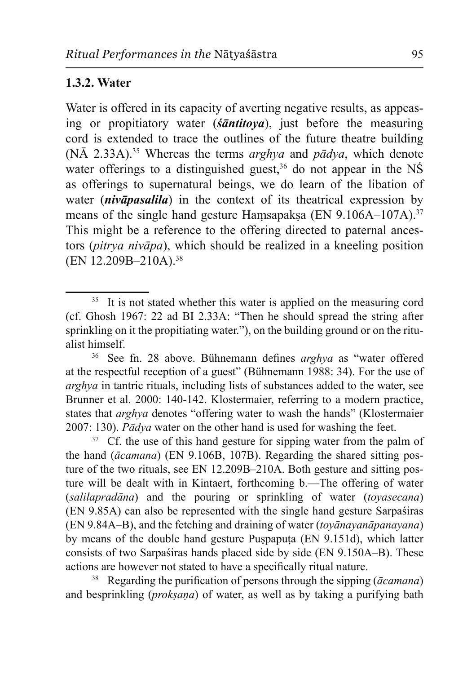#### **1.3.2. Water**

Water is offered in its capacity of averting negative results, as appeasing or propitiatory water (santitoya), just before the measuring cord is extended to trace the outlines of the future theatre building (NA 2.33A).<sup>35</sup> Whereas the terms *arghya* and  $p\bar{a}dya$ , which denote water offerings to a distinguished guest,<sup>36</sup> do not appear in the NS as offerings to supernatural beings, we do learn of the libation of water  $(nivāpasalila)$  in the context of its theatrical expression by means of the single hand gesture Hamsapaksa (EN 9.106A–107A).<sup>37</sup> This might be a reference to the offering directed to paternal ancestors *(pitrya nivapa)*, which should be realized in a kneeling position (EN 12.209B-210A).<sup>38</sup>

<sup>37</sup> Cf. the use of this hand gesture for sipping water from the palm of the hand  $(\bar{a}camana)$  (EN 9.106B, 107B). Regarding the shared sitting posture of the two rituals, see EN 12.209B-210A. Both gesture and sitting posture will be dealt with in Kintaert, forthcoming b.—The offering of water (salilapradāna) and the pouring or sprinkling of water (tovasecana) (EN 9.85A) can also be represented with the single hand gesture Sarpasiras (EN 9.84A–B), and the fetching and draining of water *(tovānayanāpanayana)* by means of the double hand gesture Puspaputa (EN 9.151d), which latter consists of two Sarpaśiras hands placed side by side (EN 9.150A–B). These actions are however not stated to have a specifically ritual nature.

Regarding the purification of persons through the sipping (*acamana*) and besprinkling (*proksana*) of water, as well as by taking a purifying bath

<sup>&</sup>lt;sup>35</sup> It is not stated whether this water is applied on the measuring cord (cf. Ghosh 1967: 22 ad BI 2.33A: "Then he should spread the string after sprinkling on it the propitiating water."), on the building ground or on the ritualist himself.

 $36<sup>°</sup>$ See fn. 28 above. Bühnemann defines arghya as "water offered at the respectful reception of a guest" (Bühnemann 1988: 34). For the use of *arghya* in tantric rituals, including lists of substances added to the water, see Brunner et al. 2000: 140-142. Klostermaier, referring to a modern practice, states that *arghya* denotes "offering water to wash the hands" (Klostermaier 2007: 130). *Pādya* water on the other hand is used for washing the feet.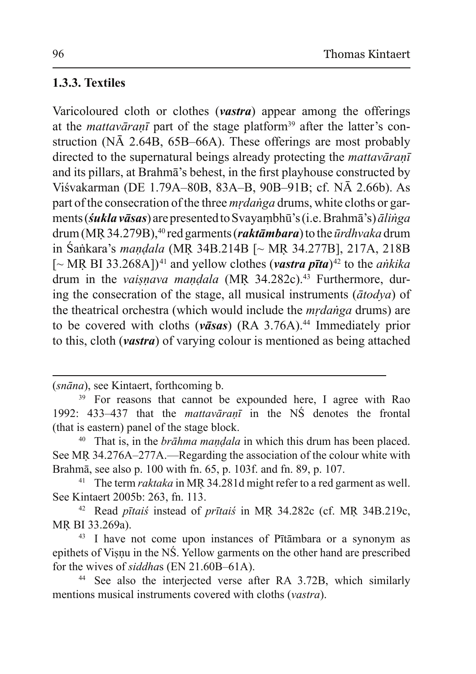## 1.3.3. Textiles

Varicoloured cloth or clothes (vastra) appear among the offerings at the *mattavāranī* part of the stage platform<sup>39</sup> after the latter's construction ( $N\overline{A}$  2.64B, 65B–66A). These offerings are most probably directed to the supernatural beings already protecting the *mattavāranī* and its pillars, at Brahma's behest, in the first playhouse constructed by Viśvakarman (DE 1.79A–80B, 83A–B, 90B–91B; cf. NA 2.66b). As part of the consecration of the three *mrdanga* drums, white cloths or garments (sukla vāsas) are presented to Svayambhū's (i.e. Brahmā's) ā linga drum (MR 34.279B), <sup>40</sup> red garments (*raktāmbara*) to the  $\bar{u}$ *rdhvaka* drum in Sankara's *mandala* (MR 34B.214B [~ MR 34.277B], 217A, 218B [~ MR BI 33.268A])<sup>41</sup> and yellow clothes (*vastra plta*)<sup>42</sup> to the *ankika* drum in the vaisnava mandala (MR 34.282c).<sup>43</sup> Furthermore, during the consecration of the stage, all musical instruments ( $\bar{a}$ todva) of the theatrical orchestra (which would include the *mrdanga* drums) are to be covered with cloths ( $v\bar{a}sas$ ) (RA 3.76A).<sup>44</sup> Immediately prior to this, cloth (*vastra*) of varying colour is mentioned as being attached

<sup>40</sup> That is, in the *brāhma mandala* in which this drum has been placed. See MR 34.276A-277A.—Regarding the association of the colour white with Brahmā, see also p. 100 with fn. 65, p. 103f. and fn. 89, p. 107.

<sup>41</sup> The term *raktaka* in MR 34.281d might refer to a red garment as well. See Kintaert 2005b: 263, fn, 113.

<sup>42</sup> Read *pītais* instead of *prītais* in MR 34.282c (cf. MR 34B.219c, MR BI 33.269a).

<sup>43</sup> I have not come upon instances of P<del>rambara</del> or a synonym as epithets of Visnu in the NS. Yellow garments on the other hand are prescribed for the wives of *siddhas* (EN 21.60B–61A).

<sup>44</sup> See also the interjected verse after RA 3.72B, which similarly mentions musical instruments covered with cloths (vastra).

<sup>(</sup>snāna), see Kintaert, forthcoming b.

<sup>&</sup>lt;sup>39</sup> For reasons that cannot be expounded here. I agree with Rao 1992: 433–437 that the *mattavāranī* in the NS denotes the frontal (that is eastern) panel of the stage block.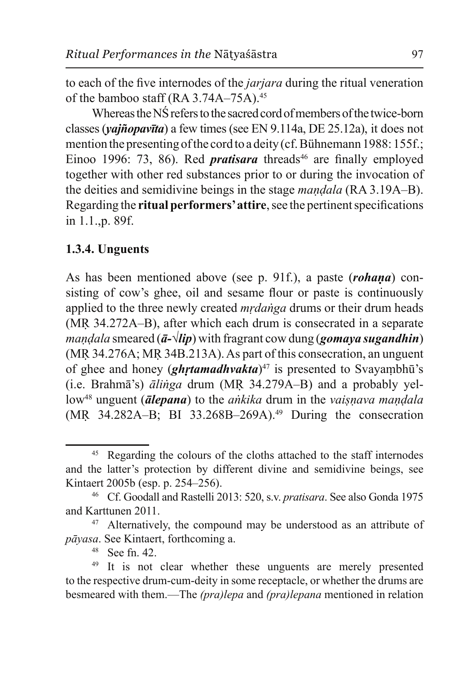to each of the five internodes of the *jarjara* during the ritual veneration of the bamboo staff (RA 3.74A-75A).<sup>45</sup>

Whereas the NS refers to the sacred cord of members of the twice-born classes (*vajñopavīta*) a few times (see EN 9.114a, DE 25.12a), it does not mention the presenting of the cord to a deity (cf. Bühnemann 1988: 155f.: Einoo 1996: 73, 86). Red *pratisara* threads<sup>46</sup> are finally employed together with other red substances prior to or during the invocation of the deities and semidivine beings in the stage *mandala* (RA 3.19A–B). Regarding the **ritual performers' attire**, see the pertinent specifications in 1.1., p. 89f.

## 1.3.4. Unguents

As has been mentioned above (see p. 91f.), a paste *(rohana)* consisting of cow's ghee, oil and sesame flour or paste is continuously applied to the three newly created *mrdanga* drums or their drum heads (MR 34.272A–B), after which each drum is consecrated in a separate *mandala* smeared ( $\bar{a}$ - $\sqrt{lip}$ ) with fragrant cow dung (*gomaya sugandhin*) (MR 34.276A; MR 34B.213A). As part of this consecration, an unguent of ghee and honey  $(gh$ *rtamadhvakta* $)^{47}$  is presented to Svayambhū's (i.e. Brahmā's) *ālinga* drum (MR 34.279A–B) and a probably yel $low<sup>48</sup>$  unguent ( $\bar{a}$ lepana) to the *ankika* drum in the *vaisnava mandala* (MR 34.282A-B; BI 33.268B-269A).<sup>49</sup> During the consecration

Regarding the colours of the cloths attached to the staff internodes 45 and the latter's protection by different divine and semidivine beings, see Kintaert 2005b (esp. p. 254–256).

<sup>&</sup>lt;sup>46</sup> Cf. Goodall and Rastelli 2013: 520, s.v. pratisara. See also Gonda 1975 and Karttunen 2011.

Alternatively, the compound may be understood as an attribute of 47 *pāyasa*. See Kintaert, forthcoming a.

 $48$  See fn, 42.

<sup>&</sup>lt;sup>49</sup> It is not clear whether these unguents are merely presented to the respective drum-cum-deity in some receptacle, or whether the drums are besmeared with them.—The (pra)lepa and (pra)lepana mentioned in relation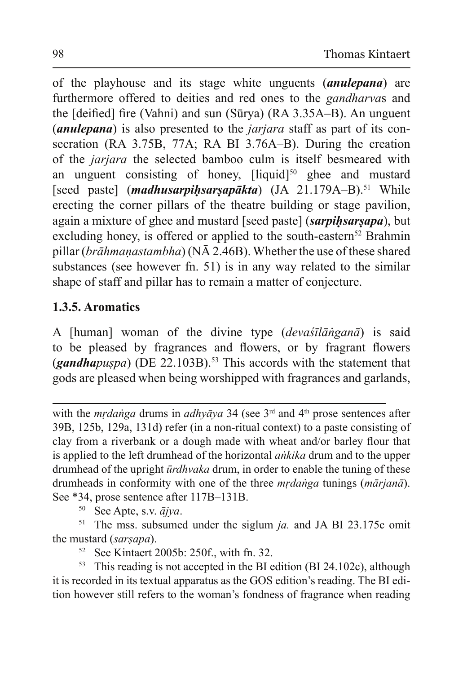of the playhouse and its stage white unguents (anulepana) are furthermore offered to deities and red ones to the *gandharvas* and the [deified] fire (Vahni) and sun (Sūrya) (RA 3.35A–B). An unguent *(anulepana)* is also presented to the *jarjara* staff as part of its consecration (RA 3.75B, 77A; RA BI 3.76A–B). During the creation of the *jarjara* the selected bamboo culm is itself besmeared with an unguent consisting of honey, [liquid]<sup>50</sup> ghee and mustard [seed paste] (*madhusarpihsarsapākta*) (JA 21.179A–B).<sup>51</sup> While erecting the corner pillars of the theatre building or stage pavilion. again a mixture of ghee and mustard [seed paste] (sarpihsarsapa), but excluding honey, is offered or applied to the south-eastern<sup>52</sup> Brahmin pillar (*brāhmanastambha*) ( $N\bar{A}$  2.46B). Whether the use of these shared substances (see however fn. 51) is in any way related to the similar shape of staff and pillar has to remain a matter of conjecture.

## 1.3.5. Aromatics

A [human] woman of the divine type *(devastlangana)* is said to be pleased by fragrances and flowers, or by fragrant flowers (gandhapuspa) (DE 22.103B).<sup>53</sup> This accords with the statement that gods are pleased when being worshipped with fragrances and garlands,

with the *mrdanga* drums in *adhyaya* 34 (see  $3<sup>rd</sup>$  and  $4<sup>th</sup>$  prose sentences after 39B, 125b, 129a, 131d) refer (in a non-ritual context) to a paste consisting of clay from a riverbank or a dough made with wheat and/or barley flour that is applied to the left drumhead of the horizontal *ankika* drum and to the upper drumhead of the upright *ūrdhvaka* drum, in order to enable the tuning of these drumheads in conformity with one of the three *mrdanga* tunings (*mārjanā*). See \*34, prose sentence after 117B-131B.

50 See Apte, s.v.  $\overline{a}$ jya.

51 The mss. subsumed under the siglum  $ja$ . and JA BI 23.175 $c$  omit the mustard *(sarsapa)*.

<sup>52</sup> See Kintaert 2005b: 250f., with fn. 32.

<sup>53</sup> This reading is not accepted in the BI edition (BI 24.102c), although it is recorded in its textual apparatus as the GOS edition's reading. The BI edition however still refers to the woman's fondness of fragrance when reading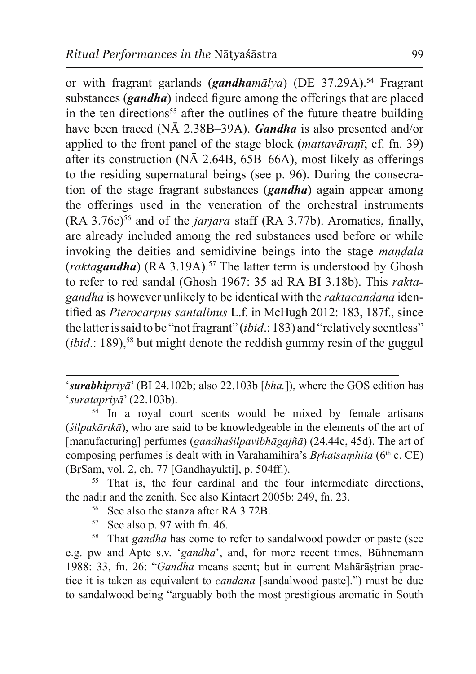or with fragrant garlands (*gandhamālya*) (DE 37.29A).<sup>54</sup> Fragrant substances  $(gandha)$  indeed figure among the offerings that are placed in the ten directions<sup>55</sup> after the outlines of the future theatre building have been traced ( $N\bar{A}$  2.38B–39A). *Gandha* is also presented and/or applied to the front panel of the stage block (*mattavāranī*; cf. fn. 39) after its construction ( $N\bar{A}$  2.64B, 65B–66A), most likely as offerings to the residing supernatural beings (see p. 96). During the consecration of the stage fragrant substances (*gandha*) again appear among the offerings used in the veneration of the orchestral instruments  $(RA 3.76c)^{56}$  and of the *jarjara* staff  $(RA 3.77b)$ . Aromatics, finally, are already included among the red substances used before or while invoking the deities and semidivine beings into the stage *mandala* (*raktagandha*) (RA 3.19A).<sup>57</sup> The latter term is understood by Ghosh to refer to red sandal (Ghosh 1967: 35 ad RA BI 3.18b). This rakta*gandha* is however unlikely to be identical with the *raktacandana* identified as *Pterocarpus santalinus* L.f. in McHugh 2012: 183, 187f., since the latter is said to be "not fragrant" *(ibid.*: 183) and "relatively scentless" (*ibid.*: 189),<sup>58</sup> but might denote the reddish gummy resin of the guggul

'surabhipriyā' (BI 24.102b; also 22.103b [bha.]), where the GOS edition has 'suratapriya'  $(22.103b)$ .

<sup>54</sup> In a royal court scents would be mixed by female artisans  $(silpakārikā)$ , who are said to be knowledgeable in the elements of the art of [manufacturing] perfumes (gandhasilpavibh $\bar{a}$ gajñ $\bar{a}$ ) (24.44c, 45d). The art of composing perfumes is dealt with in Varāhamihira's *Brhatsamhitā* ( $6<sup>th</sup>$  c. CE) (BrSam, vol. 2, ch. 77 [Gandhayukti], p. 504ff.).

<sup>55</sup> That is, the four cardinal and the four intermediate directions, the nadir and the zenith. See also Kintaert 2005b: 249, fn. 23.

- <sup>56</sup> See also the stanza after RA 3.72B.
- $57$  See also p. 97 with fn. 46.

<sup>58</sup> That *gandha* has come to refer to sandalwood powder or paste (see e.g. pw and Apte s.v. 'gandha', and, for more recent times, Bühnemann 1988: 33, fn. 26: "Gandha means scent; but in current Mahārāstrian practice it is taken as equivalent to *candana* [sandalwood paste].") must be due to sandalwood being "arguably both the most prestigious aromatic in South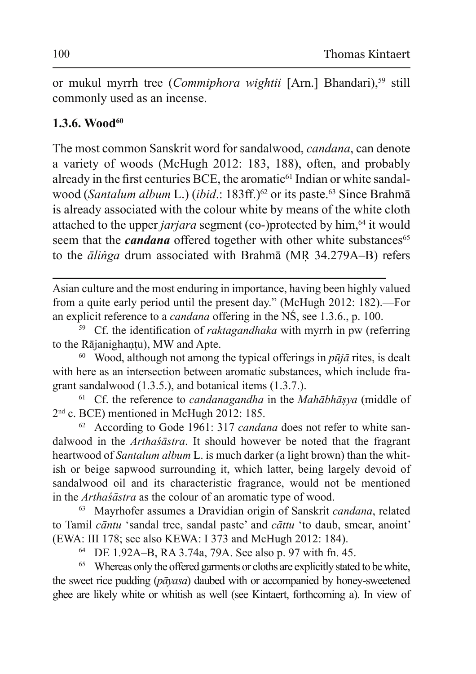or mukul myrrh tree (Commiphora wightii [Arn.] Bhandari),<sup>59</sup> still commonly used as an incense.

# $1.3.6.$  Wood<sup>60</sup>

The most common Sanskrit word for sandalwood, *candana*, can denote a variety of woods (McHugh 2012: 183, 188), often, and probably already in the first centuries BCE, the aromatic<sup>61</sup> Indian or white sandalwood (Santalum album L.) (ibid.: 183ff.)<sup>62</sup> or its paste.<sup>63</sup> Since Brahma is already associated with the colour white by means of the white cloth attached to the upper *jarjara* segment (co-)protected by him,<sup>64</sup> it would seem that the *candana* offered together with other white substances<sup>65</sup> to the *ālinga* drum associated with Brahmā (MR 34.279A–B) refers

Asian culture and the most enduring in importance, having been highly valued from a quite early period until the present day." (McHugh 2012: 182).—For an explicit reference to a *candana* offering in the NS, see 1.3.6., p. 100.

59 Cf. the identification of *raktagandhaka* with myrrh in pw (referring to the Rājanighantu), MW and Apte.

<sup>60</sup> Wood, although not among the typical offerings in  $p\bar{u}j\bar{a}$  rites, is dealt with here as an intersection between aromatic substances, which include fragrant sandalwood  $(1.3.5.)$ , and botanical items  $(1.3.7.)$ .

<sup>61</sup> Cf. the reference to *candanagandha* in the *Mahābhāşya* (middle of  $2<sup>nd</sup>$  c. BCE) mentioned in McHugh 2012: 185.

62 According to Gode 1961: 317 candana does not refer to white sandalwood in the *Arthasastra*. It should however be noted that the fragrant heartwood of Santalum album L. is much darker (a light brown) than the whitish or beige sapwood surrounding it, which latter, being largely devoid of sandalwood oil and its characteristic fragrance, would not be mentioned in the *Arthasastra* as the colour of an aromatic type of wood.

Mayrhofer assumes a Dravidian origin of Sanskrit *candana*, related to Tamil *cantu* 'sandal tree, sandal paste' and *cattu* 'to daub, smear, anoint' (EWA: III 178; see also KEWA: I 373 and McHugh 2012: 184).

<sup>64</sup> DE 1.92A–B, RA 3.74a, 79A. See also p. 97 with fn. 45.

<sup>65</sup> Whereas only the offered garments or cloths are explicitly stated to be white, the sweet rice pudding (*pavasa*) daubed with or accompanied by honey-sweetened ghee are likely white or whitish as well (see Kintaert, forthcoming a). In view of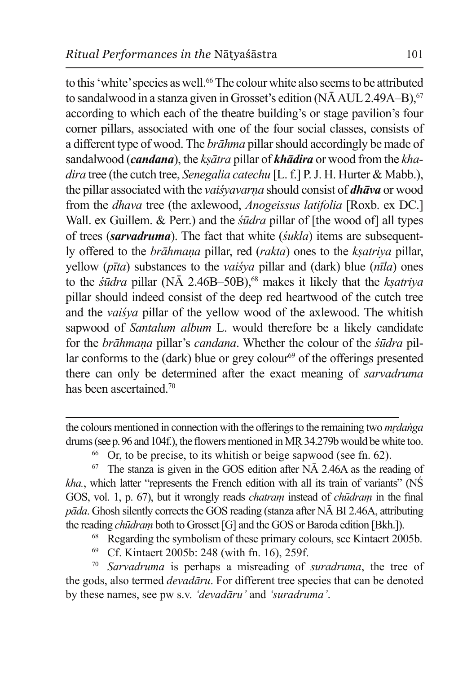to this 'white' species as well.<sup>66</sup> The colour white also seems to be attributed to sandalwood in a stanza given in Grosset's edition  $(N\bar{A} AUL 2.49A-B)$ , <sup>67</sup> according to which each of the theatre building's or stage pavilion's four corner pillars, associated with one of the four social classes, consists of a different type of wood. The *brāhma* pillar should accordingly be made of sandalwood (*candana*), the *ksātra* pillar of **khādira** or wood from the *khadira* tree (the cutch tree, *Senegalia catechu* [L. f.] P. J. H. Hurter & Mabb.), the pillar associated with the *vaisvavarna* should consist of *dhava* or wood from the *dhava* tree (the axlewood, *Anogeissus latifolia* [Roxb. ex DC.] Wall. ex Guillem. & Perr.) and the *sūdra* pillar of [the wood of] all types of trees (sarvadruma). The fact that white (sukla) items are subsequently offered to the *brāhmana* pillar, red (*rakta*) ones to the *ksatriva* pillar, vellow (*pta*) substances to the *vaisva* pillar and (dark) blue (*ntla*) ones to the *sūdra* pillar (N $\overline{A}$  2.46B-50B),<sup>68</sup> makes it likely that the *ksatriya* pillar should indeed consist of the deep red heartwood of the cutch tree and the *vaisva* pillar of the yellow wood of the axlewood. The whitish sapwood of *Santalum album* L, would therefore be a likely candidate for the brāhmaņa pillar's candana. Whether the colour of the śūdra pillar conforms to the (dark) blue or grey colour<sup>69</sup> of the offerings presented there can only be determined after the exact meaning of sarvadruma has been ascertained.<sup>70</sup>

the colours mentioned in connection with the offerings to the remaining two *mrdanga* drums (see p. 96 and 104f.), the flowers mentioned in MR 34.279b would be white too.

 $67$  The stanza is given in the GOS edition after NA 2.46A as the reading of kha., which latter "represents the French edition with all its train of variants" (NS GOS, vol. 1, p. 67), but it wrongly reads *chatram* instead of *chūdram* in the final  $p\bar{a}da$ . Ghosh silently corrects the GOS reading (stanza after N $\bar{A}$  BI 2.46A, attributing the reading *chūdram* both to Grosset [G] and the GOS or Baroda edition [Bkh.]).

- Regarding the symbolism of these primary colours, see Kintaert 2005b.
- <sup>69</sup> Cf. Kintaert 2005b: 248 (with fn. 16), 259f.

<sup>70</sup> Sarvadruma is perhaps a misreading of *suradruma*, the tree of the gods, also termed *devadaru*. For different tree species that can be denoted by these names, see pw s.v. 'devadāru' and 'suradruma'.

Or, to be precise, to its whitish or beige sapwood (see fn. 62).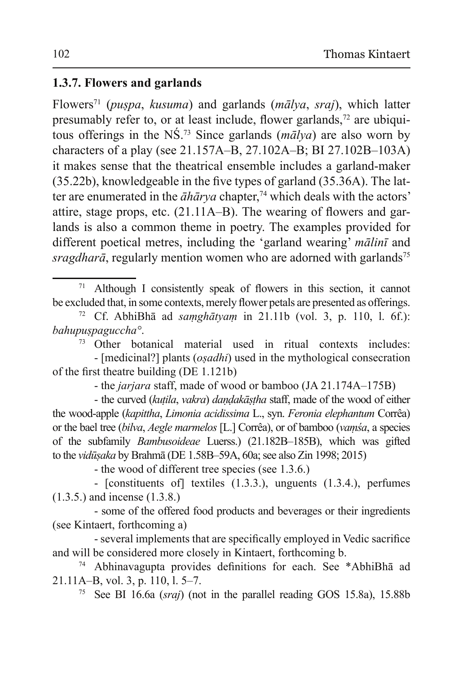### 1.3.7. Flowers and garlands

Flowers<sup>71</sup> (*puspa, kusuma*) and garlands ( $m\bar{a}lya$ , *sraj*), which latter presumably refer to, or at least include, flower garlands,<sup>72</sup> are ubiquitous offerings in the  $N\dot{S}^{73}$  Since garlands (*mālva*) are also worn by characters of a play (see 21.157A–B, 27.102A–B; BI 27.102B–103A) it makes sense that the theatrical ensemble includes a garland-maker (35.22b), knowledgeable in the five types of garland (35.36A). The latter are enumerated in the  $\bar{a}h\bar{a}rya$  chapter,<sup>74</sup> which deals with the actors' attire, stage props, etc. (21.11A–B). The wearing of flowers and garlands is also a common theme in poetry. The examples provided for different poetical metres, including the 'garland wearing' malini and *sragdharā*, regularly mention women who are adorned with garlands<sup>75</sup>

<sup>73</sup> Other botanical material used in ritual contexts includes: - [medicinal?] plants  $(osadhi)$  used in the mythological consecration of the first theatre building (DE  $1.121b$ )

- the *jarjara* staff, made of wood or bamboo (JA 21.174A–175B)

- the curved (kutila, vakra) dandakāstha staff, made of the wood of either the wood-apple (kapittha, Limonia acidissima L., syn. Feronia elephantum Corrêa) or the bael tree *(bilva, Aegle marmelos* [L.] Corrêa), or of bamboo *(vamsa, a species* of the subfamily *Bambusoideae* Luerss.) (21.182B-185B), which was gifted to the *vidūsaka* by Brahmā (DE 1.58B–59A, 60a; see also Zin 1998; 2015)

- the wood of different tree species (see  $1.3.6$ .)

- [constituents of] textiles (1.3.3.), unguents (1.3.4.), perfumes  $(1.3.5.)$  and incense  $(1.3.8.)$ 

- some of the offered food products and beverages or their ingredients (see Kintaert, forthcoming a)

- several implements that are specifically employed in Vedic sacrifice and will be considered more closely in Kintaert, forthcoming b.

<sup>74</sup> Abhinavagupta provides definitions for each. See \*AbhiBha ad 21.11A-B, vol. 3, p. 110, 1, 5-7.

<sup>75</sup> See BI 16.6a (*sraj*) (not in the parallel reading GOS 15.8a), 15.88b

<sup>&</sup>lt;sup>71</sup> Although I consistently speak of flowers in this section, it cannot be excluded that, in some contexts, merely flower petals are presented as offerings.

<sup>&</sup>lt;sup>72</sup> Cf. AbhiBha ad samghatyam in 21.11b (vol. 3, p. 110, 1. 6f.): bahupuspaguccha°.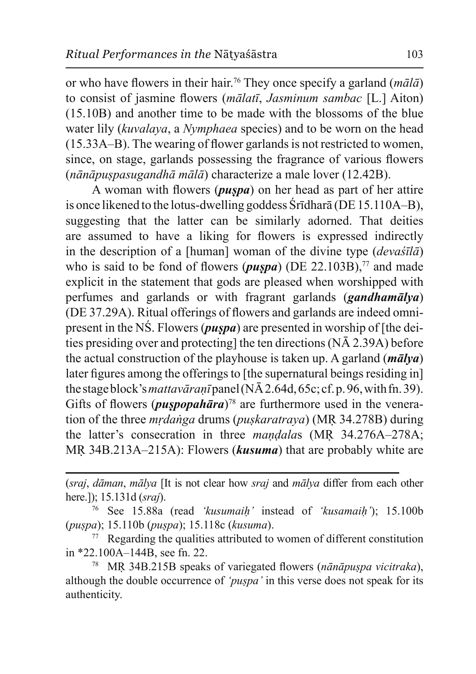or who have flowers in their hair.<sup>76</sup> They once specify a garland ( $m\bar{a}l\bar{a}$ ) to consist of jasmine flowers (mālatī, Jasminum sambac [L.] Aiton) (15.10B) and another time to be made with the blossoms of the blue water lily (kuvalaya, a Nymphaea species) and to be worn on the head (15.33A–B). The wearing of flower garlands is not restricted to women, since, on stage, garlands possessing the fragrance of various flowers  $(n\bar{a}n\bar{a}puspasuqandh\bar{a} m\bar{a}l\bar{a})$  characterize a male lover (12.42B).

A woman with flowers (*puspa*) on her head as part of her attire is once like ned to the lotus-dwelling goddess Sridhara (DE 15.110A-B). suggesting that the latter can be similarly adorned. That deities are assumed to have a liking for flowers is expressed indirectly in the description of a [human] woman of the divine type  $(deva\sin\theta)$ who is said to be fond of flowers (*puspa*) (DE 22.103B).<sup>77</sup> and made explicit in the statement that gods are pleased when worshipped with perfumes and garlands or with fragrant garlands (*gandhamālya*) (DE 37.29A). Ritual offerings of flowers and garlands are indeed omnipresent in the NS. Flowers (*puspa*) are presented in worship of [the deities presiding over and protecting] the ten directions (NA 2.39A) before the actual construction of the playhouse is taken up. A garland  $(m\bar{a}lva)$ later figures among the offerings to [the supernatural beings residing in] the stage block's *mattavarant* panel ( $N\bar{A}$  2.64d, 65c; cf. p. 96, with fn. 39). Gifts of flowers  $(\rho \nu s \rho \rho \rho h \bar{a} r a)^{78}$  are furthermore used in the veneration of the three *mrdanga* drums (*puskaratraya*) (MR 34.278B) during the latter's consecration in three *mandalas* (MR 34.276A–278A; MR 34B.213A-215A): Flowers (*kusuma*) that are probably white are

<sup>(</sup>sraj, dāman, mālya [It is not clear how sraj and mālya differ from each other here.]);  $15.131d (srai)$ .

<sup>&</sup>lt;sup>76</sup> See 15.88a (read 'kusumaih' instead of 'kusamaih'); 15.100b (puspa); 15.110b (puspa); 15.118c (kusuma).

<sup>&</sup>lt;sup>77</sup> Regarding the qualities attributed to women of different constitution in \*22.100A-144B, see fn. 22.

<sup>&</sup>lt;sup>78</sup> MR 34B.215B speaks of variegated flowers (nānāpuspa vicitraka), although the double occurrence of 'puspa' in this verse does not speak for its authenticity.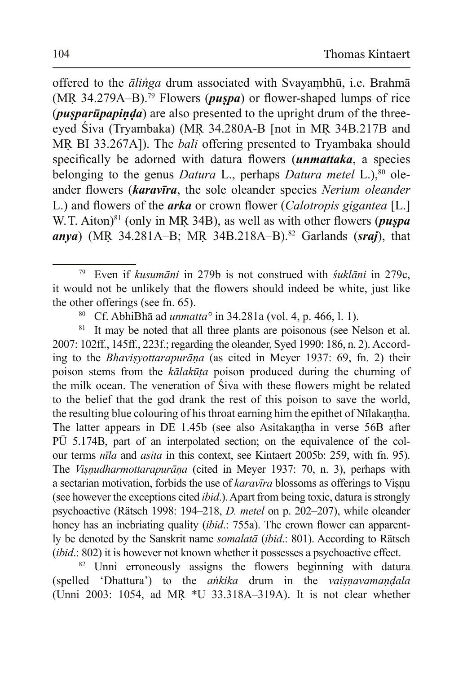offered to the *ālinga* drum associated with Svayambhū, i.e. Brahmā (MR 34.279A-B).<sup>79</sup> Flowers (*puspa*) or flower-shaped lumps of rice *(pusparūpapinda)* are also presented to the upright drum of the threeeyed Siva (Tryambaka) (MR 34.280A-B [not in MR 34B.217B and MR BI 33.267A]). The *bali* offering presented to Tryambaka should specifically be adorned with datura flowers *(unmattaka, a species* belonging to the genus *Datura L.*, perhaps *Datura metel L.*),<sup>80</sup> oleander flowers (karavīra, the sole oleander species Nerium oleander L.) and flowers of the **arka** or crown flower (*Calotropis gigantea* [L.] W. T. Aiton)<sup>81</sup> (only in MR 34B), as well as with other flowers (*puspa anya*) (MR 34.281A-B; MR 34B.218A-B).<sup>82</sup> Garlands (*sraj*), that

 $8\sqrt{1}$ It may be noted that all three plants are poisonous (see Nelson et al. 2007: 102ff., 145ff., 223f.; regarding the oleander, Syed 1990: 186, n. 2). According to the *Bhavisvottarapurana* (as cited in Meyer 1937: 69, fn. 2) their poison stems from the *kalakuta* poison produced during the churning of the milk ocean. The veneration of Siva with these flowers might be related to the belief that the god drank the rest of this poison to save the world, the resulting blue colouring of his throat earning him the epithet of Nīlakantha. The latter appears in DE 1.45b (see also Asitakantha in verse 56B after PU 5.174B, part of an interpolated section; on the equivalence of the colour terms *nīla* and *asita* in this context, see Kintaert 2005b: 259, with fn. 95). The *Visnudharmottarapurana* (cited in Meyer 1937: 70, n. 3), perhaps with a sectarian motivation, forbids the use of karavīra blossoms as offerings to Visnu (see however the exceptions cited *ibid*.). Apart from being toxic, datura is strongly psychoactive (Rätsch 1998: 194–218, *D. metel* on p. 202–207), while oleander honey has an inebriating quality *(ibid.: 755a)*. The crown flower can apparently be denoted by the Sanskrit name *somalata (ibid.: 801)*. According to Rätsch *(ibid.: 802)* it is however not known whether it possesses a psychoactive effect.

<sup>82</sup> Unni erroneously assigns the flowers beginning with datura (spelled 'Dhattura') to the *ankika* drum in the *vaisnavamandala* (Unni 2003: 1054, ad MR \*U 33.318A-319A). It is not clear whether

 $\mathbf{79}$ Even if kusumāni in 279b is not construed with *suklāni* in 279c, it would not be unlikely that the flowers should indeed be white, just like the other offerings (see fn. 65).

<sup>&</sup>lt;sup>80</sup> Cf. AbhiBha ad *unmatta*  $\circ$  in 34.281a (vol. 4, p. 466, l. 1).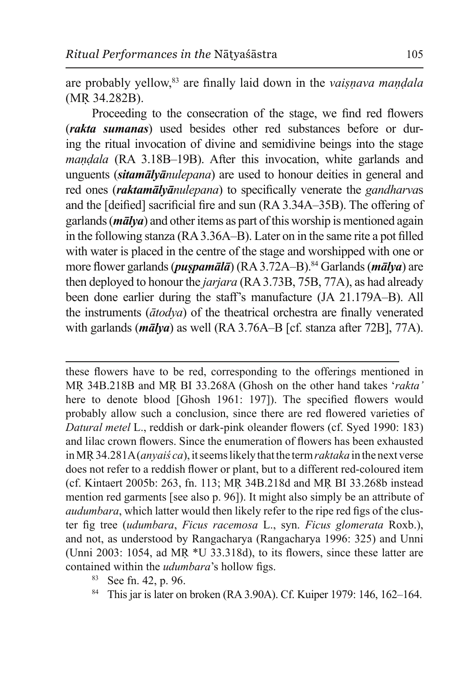are probably yellow,<sup>83</sup> are finally laid down in the *vaisnava mandala* (MR 34.282B).

Proceeding to the consecration of the stage, we find red flowers (rakta sumanas) used besides other red substances before or during the ritual invocation of divine and semidivine beings into the stage *mandala* (RA 3.18B-19B). After this invocation, white garlands and unguents *(sitamālyānulepana)* are used to honour deities in general and red ones (raktamālyānulepana) to specifically venerate the gandharvas and the [deified] sacrificial fire and sun (RA 3.34A–35B). The offering of garlands ( $m\bar{a}lva$ ) and other items as part of this worship is mentioned again in the following stanza (RA 3.36A–B). Later on in the same rite a pot filled with water is placed in the centre of the stage and worshipped with one or more flower garlands (*puspamālā*) (RA 3.72A–B).<sup>84</sup> Garlands (*mālya*) are then deployed to honour the *jarjara* (RA 3.73B, 75B, 77A), as had already been done earlier during the staff's manufacture (JA 21.179A–B). All the instruments ( $\bar{a}$ todya) of the theatrical orchestra are finally venerated with garlands ( $m\bar{a}lya$ ) as well (RA 3.76A-B [cf. stanza after 72B], 77A).

these flowers have to be red, corresponding to the offerings mentioned in MR 34B.218B and MR BI 33.268A (Ghosh on the other hand takes 'rakta' here to denote blood [Ghosh 1961: 197]). The specified flowers would probably allow such a conclusion, since there are red flowered varieties of Datural metel L., reddish or dark-pink oleander flowers (cf. Syed 1990: 183) and lilac crown flowers. Since the enumeration of flowers has been exhausted in MR 34.281A (anyais ca), it seems likely that the term *raktaka* in the next verse does not refer to a reddish flower or plant, but to a different red-coloured item (cf. Kintaert 2005b: 263, fn. 113; MR 34B.218d and MR BI 33.268b instead mention red garments [see also p. 96]). It might also simply be an attribute of *audumbara*, which latter would then likely refer to the ripe red figs of the cluster fig tree (udumbara, Ficus racemosa L., syn. Ficus glomerata Roxb.), and not, as understood by Rangacharya (Rangacharya 1996: 325) and Unni (Unni 2003: 1054, ad MR \*U 33.318d), to its flowers, since these latter are contained within the *udumbara*'s hollow figs.

- 83 See fn. 42, p. 96.
- $\bf 84$ This jar is later on broken (RA 3.90A). Cf. Kuiper 1979: 146, 162–164.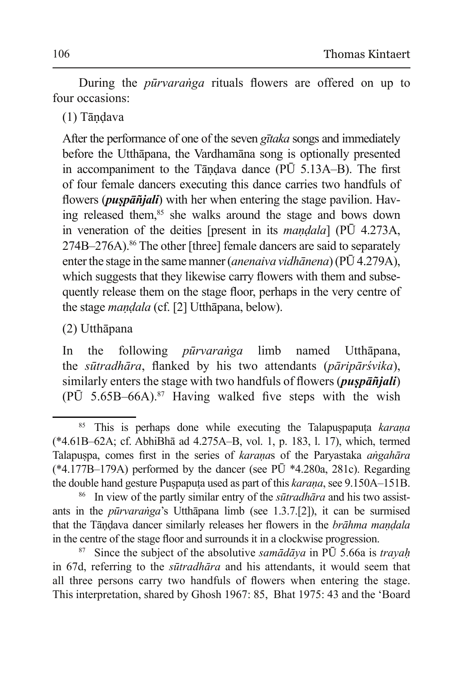During the *pūrvaranga* rituals flowers are offered on up to four occasions:

 $(1)$  Tāndava

After the performance of one of the seven gitaka songs and immediately before the Utthapana, the Vardhamana song is optionally presented in accompaniment to the Tāṇḍava dance (PŪ 5.13A–B). The first of four female dancers executing this dance carries two handfuls of flowers (*puspāñjali*) with her when entering the stage pavilion. Having released them,<sup>85</sup> she walks around the stage and bows down in veneration of the deities [present in its *mandala*] (PU 4.273A, 274B-276A).<sup>86</sup> The other [three] female dancers are said to separately enter the stage in the same manner *(anenaiva vidhānena*) *(PŪ 4.279A)*, which suggests that they likewise carry flowers with them and subsequently release them on the stage floor, perhaps in the very centre of the stage *mandala* (cf. [2] Utthapana, below).

(2) Utthāpana

*pūrvaranga* limb following  $In$ the named Utthāpana. the sūtradhāra, flanked by his two attendants (pāripārśvika), similarly enters the stage with two handfuls of flowers (*puspaniali*)  $(PU\ 5.65B-66A).<sup>87</sup>$  Having walked five steps with the wish

<sup>85</sup> This is perhaps done while executing the Talapuspaputa karana (\*4.61B-62A; cf. AbhiBha ad 4.275A-B, vol. 1, p. 183, l. 17), which, termed Talapuspa, comes first in the series of karanas of the Paryastaka angahara  $(*4.177B-179A)$  performed by the dancer (see P $\overline{U}$  \*4.280a, 281c). Regarding the double hand gesture Puspaputa used as part of this karana, see 9.150A-151B.

<sup>&</sup>lt;sup>86</sup> In view of the partly similar entry of the *sūtradhāra* and his two assistants in the *pūrvaranga*'s Utthapana limb (see 1.3.7.[2]), it can be surmised that the Tāndava dancer similarly releases her flowers in the *brāhma mandala* in the centre of the stage floor and surrounds it in a clockwise progression.

Since the subject of the absolutive samādāya in PŪ 5.66a is trayah 87 in 67d, referring to the *sūtradhāra* and his attendants, it would seem that all three persons carry two handfuls of flowers when entering the stage. This interpretation, shared by Ghosh 1967: 85, Bhat 1975: 43 and the 'Board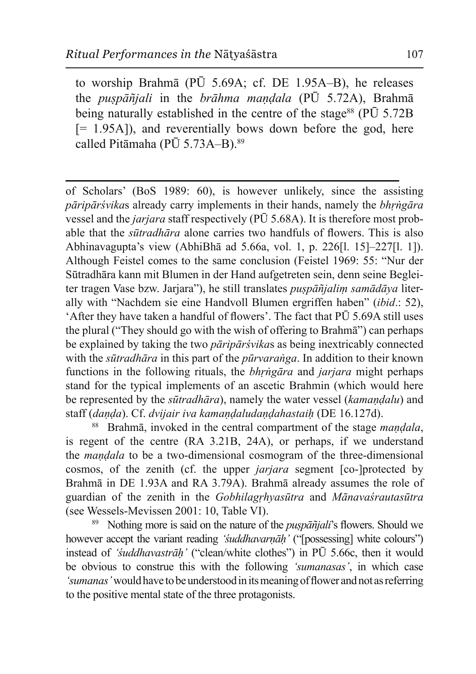to worship Brahmā (PŪ 5.69A; cf. DE 1.95A–B), he releases the *puspāñjali* in the *brāhma mandala* (PŪ 5.72A), Brahmā being naturally established in the centre of the stage<sup>88</sup> (PU 5.72B)  $[= 1.95A]$ , and reverentially bows down before the god, here called Pitāmaha (PŪ 5.73A-B).<sup>89</sup>

of Scholars' (BoS 1989: 60), is however unlikely, since the assisting *pāripārśvikas* already carry implements in their hands, namely the *bhrngāra* vessel and the *jarjara* staff respectively (PU 5.68A). It is therefore most probable that the *sūtradhāra* alone carries two handfuls of flowers. This is also Abhinavagupta's view (AbhiBha ad 5.66a, vol. 1, p. 226[1. 15]-227[1. 1]). Although Feistel comes to the same conclusion (Feistel 1969: 55: "Nur der Sūtradhāra kann mit Blumen in der Hand aufgetreten sein, denn seine Begleiter tragen Vase bzw. Jarjara"), he still translates *puspāñjalim samādāya* literally with "Nachdem sie eine Handvoll Blumen ergriffen haben" (*ibid.*: 52), 'After they have taken a handful of flowers'. The fact that PU 5.69A still uses the plural ("They should go with the wish of offering to Brahma") can perhaps be explained by taking the two *pāripārśvikas* as being inextricably connected with the *sūtradhāra* in this part of the *pūrvaranga*. In addition to their known functions in the following rituals, the *bhrngara* and *jarjara* might perhaps stand for the typical implements of an ascetic Brahmin (which would here be represented by the sūtradhāra), namely the water vessel (kamaņdalu) and staff (danda). Cf. dvijair iva kamandaludandahastaih (DE 16.127d).

Brahmā, invoked in the central compartment of the stage *mandala*, is regent of the centre (RA 3.21B, 24A), or perhaps, if we understand the *mandala* to be a two-dimensional cosmogram of the three-dimensional cosmos, of the zenith (cf. the upper jarjara segment [co-]protected by Brahmā in DE 1.93A and RA 3.79A). Brahmā already assumes the role of guardian of the zenith in the Gobhilagrhyasūtra and Mānavasrautasūtra (see Wessels-Mevissen 2001: 10, Table VI).

89 Nothing more is said on the nature of the *puspandi* is flowers. Should we however accept the variant reading *'suddhavarnah'* ("[possessing] white colours") instead of 'suddhavastrāḥ' ("clean/white clothes") in PŪ 5.66c, then it would be obvious to construe this with the following 'sumanasas', in which case *'sumanas'* would have to be understood in its meaning of flower and not as referring to the positive mental state of the three protagonists.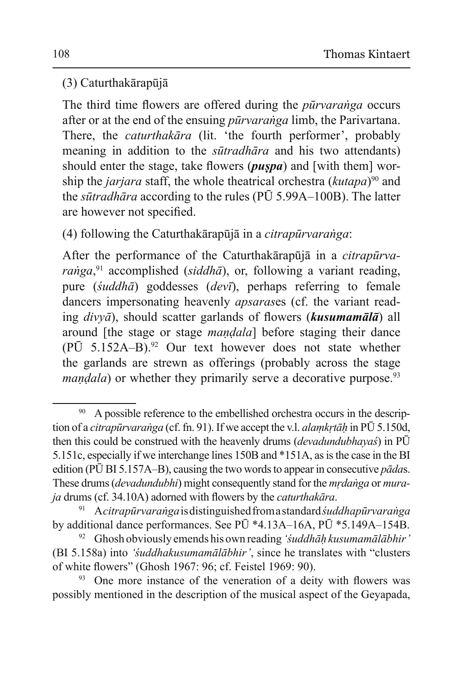## (3) Caturthakārapūjā

The third time flowers are offered during the *pūrvaranga* occurs after or at the end of the ensuing *pūrvaranga* limb, the Parivartana. There, the *caturthakara* (lit. 'the fourth performer', probably meaning in addition to the *sūtradhāra* and his two attendants) should enter the stage, take flowers (*puspa*) and [with them] worship the *jarjara* staff, the whole theatrical orchestra  $(kutapa)^{90}$  and the *sūtradhāra* according to the rules ( $P\overline{U}$  5.99A–100B). The latter are however not specified.

(4) following the Caturthakarapuja in a *citrapurvaranga*:

After the performance of the Caturthakarapuja in a *citrapurvaranga*,<sup>91</sup> accomplished (siddha), or, following a variant reading, pure (suddha) goddesses (devi), perhaps referring to female dancers impersonating heavenly *apsarases* (cf. the variant reading  $divy\bar{a}$ , should scatter garlands of flowers (*kusumamala*) all around [the stage or stage *mandala*] before staging their dance  $(PU\bar{U} 5.152A-B)^{92}$  Our text however does not state whether the garlands are strewn as offerings (probably across the stage *mandala*) or whether they primarily serve a decorative purpose.<sup>93</sup>

A possible reference to the embellished orchestra occurs in the description of a *citrapūrvaranga* (cf. fn. 91). If we accept the v.l. *alamkrtāh* in PŪ 5.150d, then this could be construed with the heavenly drums (*devadundubhayas*) in PU 5.151c, especially if we interchange lines 150B and \*151A, as is the case in the BI edition ( $P\bar{U}$  BI 5.157A–B), causing the two words to appear in consecutive *pādas*. These drums (*devadundubhi*) might consequently stand for the *mrdanga* or *muraia* drums (cf. 34.10A) adorned with flowers by the *caturthakara*.

Acitrapūrvaranga is distinguished from a standard śuddhapūrvaranga by additional dance performances. See PU \*4.13A-16A, PU \*5.149A-154B.

<sup>&</sup>lt;sup>92</sup> Ghosh obviously emends his own reading 'suddhah kusumamalabhir' (BI 5.158a) into 'suddhakusumamālābhir', since he translates with "clusters" of white flowers" (Ghosh 1967: 96; cf. Feistel 1969: 90).

<sup>&</sup>lt;sup>93</sup> One more instance of the veneration of a deity with flowers was possibly mentioned in the description of the musical aspect of the Geyapada,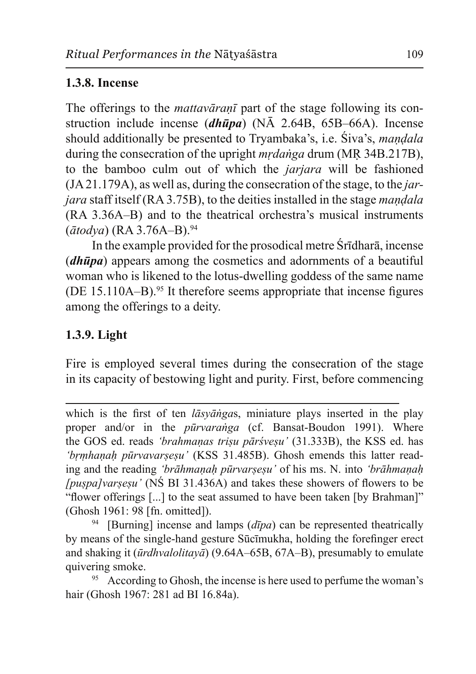## **1.3.8. Incense**

The offerings to the *mattavarant* part of the stage following its construction include incense (*dhupa*) (NA 2.64B, 65B-66A). Incense should additionally be presented to Tryambaka's, i.e. Siva's, mandala during the consecration of the upright *mrdanga* drum (MR 34B.217B), to the bamboo culm out of which the *jarjara* will be fashioned  $(JA 21.179A)$ , as well as, during the consecration of the stage, to the *jar*jara staff itself (RA 3.75B), to the deities installed in the stage mandala (RA 3.36A–B) and to the theatrical orchestra's musical instruments  $(\bar{a} \cdot \bar{a})$  (RA 3.76A-B).<sup>94</sup>

In the example provided for the prosodical metre Sridhara, incense  $(dh\bar{u}pa)$  appears among the cosmetics and adornments of a beautiful woman who is like ned to the lotus-dwelling goddess of the same name (DE 15.110A-B).<sup>95</sup> It therefore seems appropriate that incense figures among the offerings to a deity.

# 1.3.9. Light

Fire is employed several times during the consecration of the stage in its capacity of bestowing light and purity. First, before commencing

which is the first of ten *lasyangas*, miniature plays inserted in the play proper and/or in the *pūrvaranga* (cf. Bansat-Boudon 1991). Where the GOS ed. reads *'brahmanas trisu pārśvesu'* (31.333B), the KSS ed. has 'brmhanah pūrvavarsesu' (KSS 31.485B). Ghosh emends this latter reading and the reading *'brāhmanah pūrvarsesu'* of his ms. N. into *'brāhmanah* [puspa]varsesu' (NS BI 31.436A) and takes these showers of flowers to be "flower offerings [...] to the seat assumed to have been taken [by Brahman]" (Ghosh 1961: 98 [fn. omitted]).

[Burning] incense and lamps  $(d\bar{u}pa)$  can be represented theatrically 94 by means of the single-hand gesture Sūcīmukha, holding the forefinger erect and shaking it ( $\bar{u}$ rdhvalolitay $\bar{a}$ ) (9.64A–65B, 67A–B), presumably to emulate quivering smoke.

According to Ghosh, the incense is here used to perfume the woman's hair (Ghosh 1967: 281 ad BI 16.84a).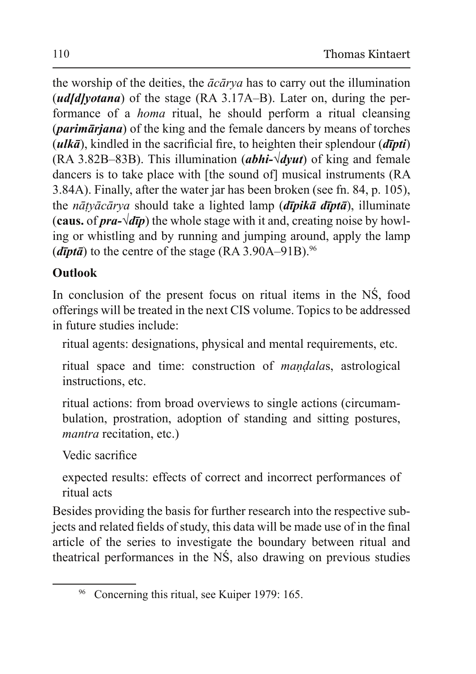the worship of the deities, the  $\bar{a}c\bar{a}rva$  has to carry out the illumination  $(ud/dlyotana)$  of the stage (RA 3.17A-B). Later on, during the performance of a *homa* ritual, he should perform a ritual cleansing (*parimariana*) of the king and the female dancers by means of torches  $(ulk\bar{a})$ , kindled in the sacrificial fire, to heighten their splendour  $(d\bar{u}pti)$  $(RA 3.82B-83B)$ . This illumination (abhi- $\sqrt{dyut}$ ) of king and female dancers is to take place with [the sound of] musical instruments (RA 3.84A). Finally, after the water jar has been broken (see fn. 84, p. 105). the *nātvācārva* should take a lighted lamp (**dīpikā dīptā**), illuminate (caus. of *pra-* $\sqrt{d\bar{u}}$ ) the whole stage with it and, creating noise by howling or whistling and by running and jumping around, apply the lamp ( $d\bar{t}pt\bar{a}$ ) to the centre of the stage (RA 3.90A-91B).<sup>96</sup>

# **Outlook**

In conclusion of the present focus on ritual items in the NS, food offerings will be treated in the next CIS volume. Topics to be addressed in future studies include:

ritual agents: designations, physical and mental requirements, etc.

ritual space and time: construction of *mandalas*, astrological instructions, etc.

ritual actions: from broad overviews to single actions (circumambulation, prostration, adoption of standing and sitting postures, *mantra* recitation, etc.)

Vedic sacrifice

expected results: effects of correct and incorrect performances of ritual acts

Besides providing the basis for further research into the respective subjects and related fields of study, this data will be made use of in the final article of the series to investigate the boundary between ritual and theatrical performances in the NS, also drawing on previous studies

<sup>96</sup> Concerning this ritual, see Kuiper 1979: 165.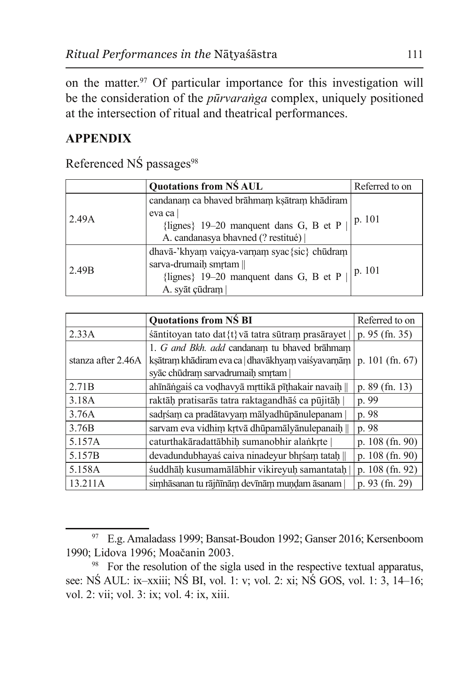on the matter.<sup>97</sup> Of particular importance for this investigation will be the consideration of the *pūrvaranga* complex, uniquely positioned at the intersection of ritual and theatrical performances.

# **APPENDIX**

|       | <b>Quotations from NS AUL</b>                  | Referred to on   |
|-------|------------------------------------------------|------------------|
| 2.49A | candanam ca bhaved brāhmam kṣātram khādiram    |                  |
|       | eva ca                                         | p. 101           |
|       | {lignes} 19–20 manquent dans G, B et P $\vert$ |                  |
|       | A. candanasya bhavned (? restitué)             |                  |
| 2.49B | dhavā-'khyam vaiçya-varṇaṃ syac{sic} chūdraṃ   |                  |
|       | sarva-drumaih smrtam                           |                  |
|       | {lignes} 19-20 manquent dans G, B et P $\vert$ | $\vert$   p. 101 |
|       | A. syāt çūdram                                 |                  |

Referenced NS passages<sup>98</sup>

|                    | <b>Quotations from NS BI</b>                                        | Referred to on    |
|--------------------|---------------------------------------------------------------------|-------------------|
| 2.33A              | sāntitoyan tato dat $\{t\}$ vā tatra sūtram prasārayet              | p. $95$ (fn. 35)  |
|                    | 1. G and Bkh. add candanam tu bhaved brāhmam                        |                   |
| stanza after 2.46A | ksātram khādiram eva ca   dhavākhyam vaisvavarņām   p. 101 (fn. 67) |                   |
|                    | syāc chūdram sarvadrumaiņ smrtam                                    |                   |
| 2.71 <sub>B</sub>  | ahīnāngais ca vodhavyā mṛttikā pīṭhakair navaiḥ                     | p. $89$ (fn. 13)  |
| 3.18A              | raktāņ pratisarās tatra raktagandhās ca pūjitāņ                     | p. 99             |
| 3.76A              | sadrśam ca pradātavyam mālyadhūpānulepanam                          | p. 98             |
| 3.76B              | sarvam eva vidhim krtvā dhūpamālyānulepanaih                        | p. 98             |
| 5.157A             | caturthakāradattābhiḥ sumanobhir alankrte                           | p. $108$ (fn. 90) |
| 5.157B             | devadundubhayaś caiva ninadeyur bhrśam tatah                        | p. $108$ (fn. 90) |
| 5.158A             | śuddhāḥ kusumamālābhir vikireyuḥ samantataḥ                         | p. 108 (fn. 92)   |
| 13.211A            | simhāsanan tu rājñīnām devīnām muņdam āsanam                        | $p. 93$ (fn. 29)  |

<sup>&</sup>lt;sup>97</sup> E.g. Amaladass 1999; Bansat-Boudon 1992; Ganser 2016; Kersenboom 1990; Lidova 1996; Moačanin 2003.

<sup>&</sup>lt;sup>98</sup> For the resolution of the sigla used in the respective textual apparatus, see: NŚ AUL: ix-xxiii; NŚ BI, vol. 1: v; vol. 2: xi; NŚ GOS, vol. 1: 3, 14–16; vol. 2: vii; vol. 3: ix; vol. 4: ix, xiii.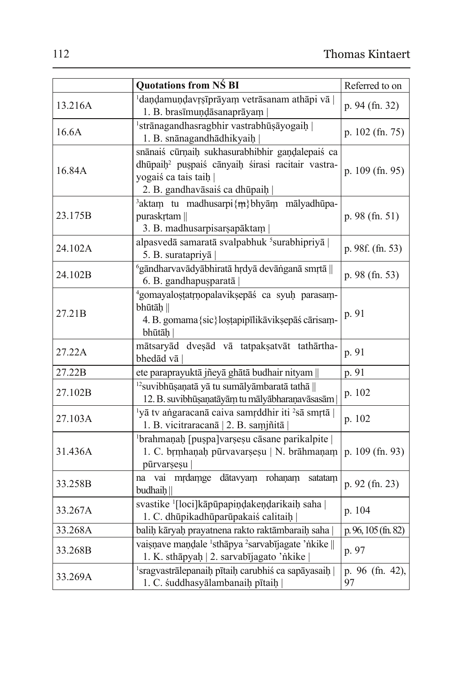|         | <b>Quotations from NS BI</b>                                                                                                                                            | Referred to on        |
|---------|-------------------------------------------------------------------------------------------------------------------------------------------------------------------------|-----------------------|
| 13.216A | $\frac{1}{2}$ daņdamuņdavrsīprāyam vetrāsanam athāpi vā<br>1. B. brasīmuņdāsanaprāyam                                                                                   | p. 94 (fn. 32)        |
| 16.6A   | <sup>1</sup> strānagandhasragbhir vastrabhūṣāyogaiḥ  <br>1. B. snānagandhādhikyaiḥ                                                                                      | p. 102 (fn. 75)       |
| 16.84A  | snānais cūrņaiņ sukhasurabhibhir gaņdalepais ca<br>dhūpaih <sup>2</sup> puspaiś cānyaih śirasi racitair vastra-<br>yogaiś ca tais taih<br>2. B. gandhavāsais ca dhūpaiḥ | p. 109 (fn. 95)       |
| 23.175B | <sup>3</sup> aktam tu madhusarpi{ <del>m</del> }bhyām mālyadhūpa-<br>puraskrtam   <br>3. B. madhusarpisarşapāktam                                                       | p. 98 $(fn. 51)$      |
| 24.102A | alpasvedā samaratā svalpabhuk <sup>5</sup> surabhipriyā  <br>5. B. suratapriyā                                                                                          | p. 98f. (fn. 53)      |
| 24.102B | <sup>6</sup> gāndharvavādyābhiratā hrdyā devānganā smrtā   <br>6. B. gandhapușparatā                                                                                    | p. 98 $(fn. 53)$      |
| 27.21B  | <sup>4</sup> gomayalostatmopalaviksepāś ca syuh parasam-<br>$bh\bar{u}t\bar{a}h$<br>4. B. gomama {sic} lostapipīlikāviksepāś cārisam-<br>bhūtāh                         | p. 91                 |
| 27.22A  | mātsaryād dvesād vā tatpaksatvāt tathārtha-<br>bhedād vā                                                                                                                | p. 91                 |
| 27.22B  | ete paraprayuktā jñeyā ghātā budhair nityam                                                                                                                             | p. 91                 |
| 27.102B | <sup>12</sup> suvibhūsaņatā yā tu sumālyāmbaratā tathā $\parallel$<br>12. B. suvibhūsaņatāyām tu mālyābharaņavāsasām                                                    | p. 102                |
| 27.103A | <sup>1</sup> yā tv angaracanā caiva samrddhir iti <sup>2</sup> sā smrtā<br>1. B. vicitraracanā   2. B. samjntā                                                          | p. 102                |
| 31.436A | <sup>1</sup> brahmaņaḥ [puṣpa]varṣeṣu cāsane parikalpite<br>1. C. brmhanah pūrvavarsesu   N. brāhmanam<br>pūrvarsesu                                                    | p. $109$ (fn. 93)     |
| 33.258B | dātavyam rohaņam<br>mrdamge<br>vai<br>satatam<br>na<br>budhaih                                                                                                          | p. 92 (fn. 23)        |
| 33.267A | svastike [loci]kāpūpapiņdakeņdarikaiņ saha  <br>1. C. dhūpikadhūparūpakaiś calitaih                                                                                     | p. 104                |
| 33.268A | balih kāryah prayatnena rakto raktāmbaraih saha                                                                                                                         | p. 96, $105$ (fn. 82) |
| 33.268B | vaisnave mandale <sup>1</sup> sthapya <sup>2</sup> sarvabījagate 'nkike   <br>1. K. sthāpyaḥ   2. sarvabījagato 'nkike                                                  | p. 97                 |
| 33.269A | <sup>1</sup> sragvastrālepanaih pītaih carubhiś ca sapāyasaih  <br>1. C. śuddhasyālambanaiḥ pītaiḥ                                                                      | p. 96 (fn. 42),<br>97 |

 $\overline{a}$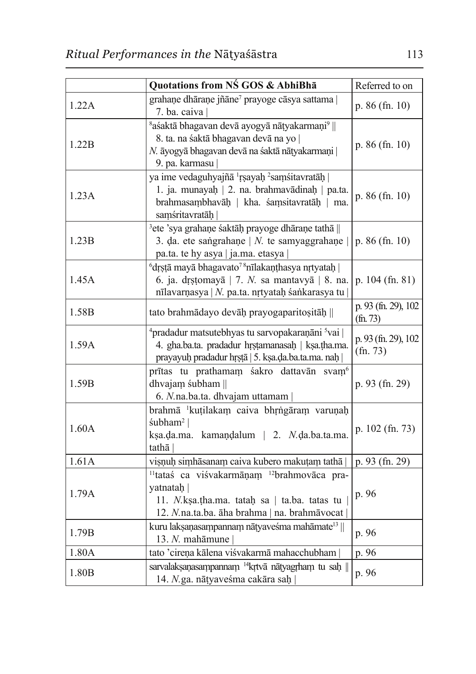|       | Quotations from NS GOS & AbhiBha                                                                                                                                                                                  | Referred to on                            |
|-------|-------------------------------------------------------------------------------------------------------------------------------------------------------------------------------------------------------------------|-------------------------------------------|
| 1.22A | grahane dhārane jñāne <sup>7</sup> prayoge cāsya sattama  <br>7. ba. caiva                                                                                                                                        | p. $86$ (fn. 10)                          |
| 1.22B | <sup>8</sup> aśaktā bhagavan devā ayogyā nātyakarmaņi <sup>9</sup>   <br>8. ta. na śaktā bhagavan devā na yo<br>N. āyogyā bhagavan devā na śaktā nātyakarmaņi  <br>9. pa. karmasu                                 | p. $86$ (fn. 10)                          |
| 1.23A | ya ime vedaguhyajñā <sup>1</sup> rṣayaḥ <sup>2</sup> saṃśitavratāḥ  <br>1. ja. munayaḥ   2. na. brahmavādinaḥ   pa.ta.<br>brahmasambhavāḥ   kha. śaṃsitavratāḥ  <br>ma.<br>samśritavratāh                         | p. $86$ (fn. 10)                          |
| 1.23B | <sup>3</sup> ete 'sya grahane śaktāḥ prayoge dhārane tathā   <br>3. da. ete sangrahane   $N$ . te samyaggrahane  <br>pa.ta. te hy asya   ja.ma. etasya                                                            | p. $86$ (fn. 10)                          |
| 1.45A | $\delta$ drstā mayā bhagavato <sup>78</sup> nīlakaņthasya nrtyataņ<br>6. ja. drstomayā   7. N. sa mantavyā   8. na.<br>nīlavarņasya   N. pa.ta. nrtyatah śankarasya tu                                            | p. $104$ (fn. 81)                         |
| 1.58B | tato brahmādayo devāņ prayogaparitositāņ $\parallel$                                                                                                                                                              | p. 93 (fn. 29), 102<br>$(\text{fn. 73})$  |
| 1.59A | <sup>4</sup> pradadur matsutebhyas tu sarvopakaranāni <sup>5</sup> vai  <br>4. gha.ba.ta. pradadur hrstamanasaḥ   kṣa.tha.ma.<br>prayayuḥ pradadur hṛṣṭā   5. kṣa.ḍa.ba.ta.ma. naḥ                                | p. 93 (fn. 29), 102<br>$(\text{fn. } 73)$ |
| 1.59B | prītas tu prathamam sakro dattavān svam <sup>6</sup><br>dhvajam śubham $\parallel$<br>6. N.na.ba.ta. dhvajam uttamam                                                                                              | p. 93 (fn. 29)                            |
| 1.60A | brahmā <sup>1</sup> kuțilakam caiva bhrngāram varuņah<br>śubham <sup>2</sup><br>kṣa.da.ma. kamaṇdalum   2. N.da.ba.ta.ma. $\left  \begin{array}{cc} p. 102 \text{ (fn. 73)} \\ t.15 \end{array} \right $<br>tathā |                                           |
| 1.61A | visnuh simhāsanam caiva kubero makutam tathā                                                                                                                                                                      | $p. 93$ (fn. 29)                          |
| 1.79A | <sup>11</sup> tataś ca viśvakarmāņam <sup>12</sup> brahmovāca pra-<br>yatnatah  <br>11. N. kṣa tha ma tataḥ sa   ta ba tatas tu<br>12. N.na.ta.ba. āha brahma   na. brahmāvocat                                   | p. 96                                     |
| 1.79B | kuru lakṣaṇasaṃpannaṃ nāṭyaveśma mahāmate <sup>13</sup>   <br>13. N. mahāmune                                                                                                                                     | p. 96                                     |
| 1.80A | tato 'cirena kālena viśvakarmā mahacchubham                                                                                                                                                                       | p. 96                                     |
| 1.80B | sarvalaksanasampannam <sup>14</sup> krtvā nātyagrham tu sah   <br>14. N.ga. nātyaveśma cakāra sah                                                                                                                 | p. 96                                     |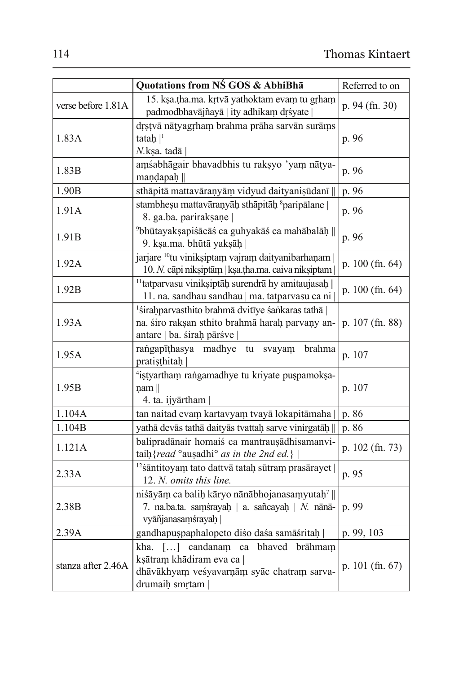|                    | Quotations from NS GOS & AbhiBha                                                                                                             | Referred to on    |
|--------------------|----------------------------------------------------------------------------------------------------------------------------------------------|-------------------|
| verse before 1.81A | 15. kṣa.tha.ma. kṛtvā yathoktam evam tu gṛham<br>padmodbhavājñayā   ity adhikam drśyate                                                      | p. 94 (fn. 30)    |
| 1.83A              | drstvā nātyagrham brahma prāha sarvān surāms<br>tatah $ $ <sup>1</sup><br>$N$ .kṣa. tadā                                                     | p. 96             |
| 1.83B              | amśabhāgair bhavadbhis tu raksyo 'yam nātya-<br>mandapah                                                                                     | p. 96             |
| 1.90B              | sthāpitā mattavāraņyām vidyud daityanisūdanī                                                                                                 | p. 96             |
| 1.91A              | stambheșu mattavāranyāḥ sthāpitāḥ <sup>8</sup> paripālane  <br>8. ga.ba. pariraksane                                                         | p. 96             |
| 1.91B              | $\delta$ bhūtayakṣapiśācāś ca guhyakāś ca mahābalāḥ   <br>9. kṣa.ma. bhūtā yakṣāḥ                                                            | p. 96             |
| 1.92A              | jarjare <sup>10</sup> tu viniksiptam vajram daityanibarhanam<br>10. N. cāpi niksiptām   kṣa.tha.ma. caiva niksiptam                          | p. $100$ (fn. 64) |
| 1.92B              | <sup>11</sup> tatparvasu viniksiptāḥ surendrā hy amitaujasaḥ   <br>11. na. sandhau sandhau   ma. tatparvasu ca ni                            | p. $100$ (fn. 64) |
| 1.93A              | <sup>1</sup> śirah parvasthito brahmā dvitīye śankaras tathā<br>na. śiro raksan sthito brahmā haraḥ parvaṇy an-<br>antare   ba. śirah pārśve | p. $107$ (fn. 88) |
| 1.95A              | rangapīthasya madhye tu svayam<br>brahma<br>pratisthitah                                                                                     | p. 107            |
| 1.95B              | <sup>4</sup> istyartham rangamadhye tu kriyate puspamoksa-<br>$\eta$ am<br>4. ta. ijyārtham                                                  | p. 107            |
| 1.104A             | tan naitad evam kartavyam tvayā lokapitāmaha                                                                                                 | p. 86             |
| 1.104B             | yathā devās tathā daityās tvattaḥ sarve vinirgatāḥ                                                                                           | p. 86             |
| 1.121A             | balipradānair homais ca mantrausādhisamanvi-<br>taih {read $\circ$ ausadhi $\circ$ as in the 2nd ed.}                                        | p. 102 (fn. 73)   |
| 2.33A              | $12$ śāntitoyam tato dattvā tataḥ sūtram prasārayet<br>12. N. omits this line.                                                               | p. 95             |
| 2.38B              | niśāyām ca baliņ kāryo nānābhojanasamyutaņ <sup>7</sup>   <br>7. na.ba.ta. saṃśrayaḥ   a. sañcayaḥ   N. nānā-<br>vyāñjanasaṃśrayaḥ           | p. 99             |
| 2.39A              | gandhapuspaphalopeto diśo daśa samāśritaḥ                                                                                                    | p. 99, 103        |
| stanza after 2.46A | kha. [] candanam ca bhaved brāhmam<br>kṣātraṃ khādiram eva ca  <br>dhāvākhyam veśyavarņām syāc chatram sarva-<br>drumaih smrtam              | p. $101$ (fn. 67) |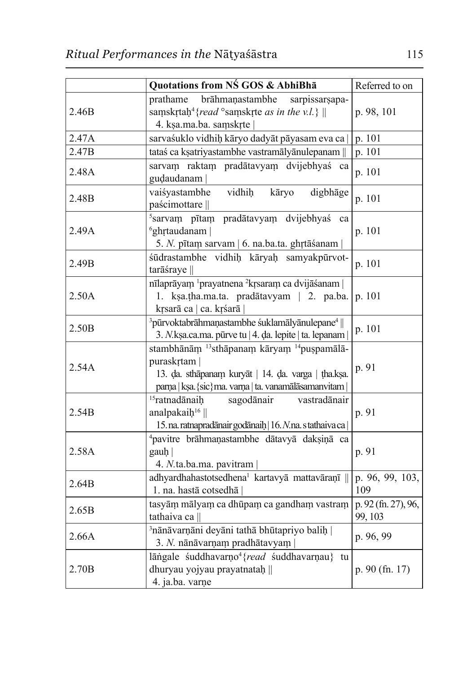|       | Quotations from NS GOS & AbhiBha                                                                                                                                                                 | Referred to on                 |
|-------|--------------------------------------------------------------------------------------------------------------------------------------------------------------------------------------------------|--------------------------------|
| 2.46B | prathame brāhmaņastambhe sarpissarsapa-<br>samskrtah <sup>4</sup> { <i>read</i> $\circ$ samskrte <i>as in the v.l.</i> }   <br>4. ksa.ma.ba. samskrte                                            | p. 98, 101                     |
| 2.47A | sarvaśuklo vidhiḥ kāryo dadyāt pāyasam eva ca                                                                                                                                                    | p. 101                         |
| 2.47B | tataś ca ksatriyastambhe vastramālyānulepanam                                                                                                                                                    | p. 101                         |
| 2.48A | sarvam raktam pradātavyam dvijebhyaś<br>ca<br>gudaudanam                                                                                                                                         | p. 101                         |
| 2.48B | vidhih<br>vaiśyastambhe<br>kāryo<br>digbhage<br>paścimottare                                                                                                                                     | p. 101                         |
| 2.49A | <sup>5</sup> sarvam pītam pradātavyam dvijebhyaś ca<br>$6$ ghrtaudanam<br>5. N. pītam sarvam   6. na.ba.ta. ghŗtāśanam                                                                           | p. 101                         |
| 2.49B | śūdrastambhe vidhih kāryah samyakpūrvot-<br>tarāśraye                                                                                                                                            | p. 101                         |
| 2.50A | nīlaprāyam <sup>1</sup> prayatnena <sup>2</sup> krsaram ca dvijāśanam<br>1. kṣa.tha.ma.ta. pradātavyam   2. pa.ba.<br>kŗsarā ca   ca. kŗśarā                                                     | p. 101                         |
| 2.50B | $3$ pūrvoktabrāhmaņastambhe śuklamālyānulepane $4$<br>3. N. kṣa.ca.ma. pūrve tu   4. da. lepite   ta. lepanam                                                                                    | p. 101                         |
| 2.54A | stambhānām <sup>13</sup> sthāpanam kāryam <sup>14</sup> puspamālā-<br>puraskrtam<br>13. da. sthāpanam kuryāt   14. da. varga   tha.kṣa.<br>parņa   kṣa. {sic} ma. varņa   ta. vanamālāsamanvitam | p. 91                          |
| 2.54B | $15$ ratnadānaiņ sagodānair<br>vastradānair<br>analpakai $\mathfrak{h}^{16}$   <br>15. na. ratnapradānair godānaih   16. N. na. stathaiva ca                                                     | p. 91                          |
| 2.58A | <sup>4</sup> pavitre brāhmaņastambhe dātavyā daksiņā ca<br>gauh<br>4. N.ta.ba.ma. pavitram                                                                                                       | p. 91                          |
| 2.64B | adhyardhahastotsedhena <sup>1</sup> kartavyā mattavāraņī   <br>1. na. hastā cotsedhā                                                                                                             | p. 96, 99, 103,<br>109         |
| 2.65B | tasyām mālyam ca dhūpam ca gandham vastram<br>tathaiva ca                                                                                                                                        | p. 92 (fn. 27), 96,<br>99, 103 |
| 2.66A | 3 nānāvarņāni deyāni tathā bhūtapriyo baliņ<br>3. N. nānāvarņam pradhātavyam                                                                                                                     | p. 96, 99                      |
| 2.70B | lāngale śuddhavarņo <sup>4</sup> { <i>read</i> śuddhavarņau} tu<br>dhuryau yojyau prayatnataḥ   <br>4. ja.ba. varņe                                                                              | $p. 90$ (fn. 17)               |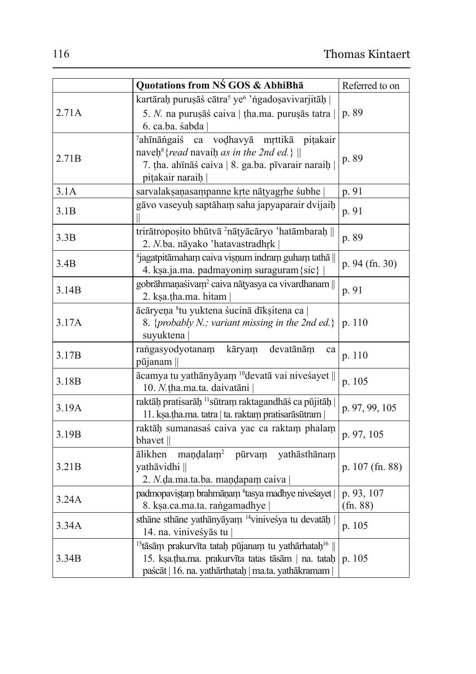|       | Quotations from NS GOS & AbhiBha                                                                                                                                                                 | Referred to on                   |
|-------|--------------------------------------------------------------------------------------------------------------------------------------------------------------------------------------------------|----------------------------------|
| 2.71A | kartārah purusās cātra <sup>5</sup> ye <sup>6</sup> 'ngadosavivarjitāh  <br>5. N. na purușās caiva   tha.ma. purușās tatra  <br>6. ca.ba. śabda                                                  | p. 89                            |
| 2.71B | $7a$ hīnāṅgaiś<br>ca vodhavyā mrttikā pitakair<br>naveh <sup>8</sup> { <i>read</i> navaih <i>as in the 2nd ed.</i> }   <br>7. tha. ahīnās caiva   8. ga.ba. pīvarair naraiņ  <br>pitakair naraih | p. 89                            |
| 3.1A  | sarvalaksanasampanne krte nātyagrhe subhe                                                                                                                                                        | p. 91                            |
| 3.1B  | gāvo vaseyuḥ saptāham saha japyaparair dvijaiḥ                                                                                                                                                   | p. 91                            |
| 3.3B  | trirātroposito bhūtvā <sup>2</sup> nātyācāryo 'hatāmbaraḥ   <br>2. N.ba. nāyako 'hatavastradhrk                                                                                                  | p. 89                            |
| 3.4B  | <sup>4</sup> jagatpitāmaham caiva visņum indram guham tathā   <br>4. kṣa.ja.ma. padmayonim suraguram {sic}                                                                                       | p. $94$ (fn. 30)                 |
| 3.14B | gobrāhmaņaśivam <sup>2</sup> caiva nātyasya ca vivardhanam   <br>2. kṣa.ṭha.ma. hitam                                                                                                            | p. 91                            |
| 3.17A | ācāryeņa <sup>8</sup> tu yuktena śucinā dīksitena ca<br>8. {probably N.; variant missing in the 2nd ed.}<br>suyuktena                                                                            | p. 110                           |
| 3.17B | rangasyodyotanam<br>kāryam devatānām<br>ca<br>pūjanam                                                                                                                                            | p. 110                           |
| 3.18B | ācamya tu yathānyāyam <sup>10</sup> devatā vai niveśayet   <br>10. N.tha.ma.ta. daivatāni                                                                                                        | p. 105                           |
| 3.19A | raktāḥ pratisarāḥ <sup>11</sup> sūtraṃ raktagandhāś ca pūjitāḥ  <br>11. kṣa.tha.ma. tatra   ta. raktam pratisarāsūtram                                                                           | p. 97, 99, 105                   |
| 3.19B | raktāņ sumanasas caiva yac ca raktam phalam<br>bhavet                                                                                                                                            | p. 97, 105                       |
| 3.21B | ālikhen<br>maņdalam <sup>2</sup> pūrvam yathāsthānam<br>yathāvidhi   <br>2. N.da.ma.ta.ba. mandapam caiva                                                                                        | p. 107 (fn. 88)                  |
| 3.24A | padmopavistam brahmāņam <sup>8</sup> tasya madhye nivesayet  <br>8. kṣa.ca.ma.ta. raṅgamadhye                                                                                                    | p. 93, 107<br>$(\text{fn. } 88)$ |
| 3.34A | sthāne sthāne yathānyāyam <sup>14</sup> vinivesya tu devatāḥ<br>14. na. vinivesyās tu                                                                                                            | p. 105                           |
| 3.34B | <sup>15</sup> tāsām prakurvīta tatah pūjanam tu yathārhatah <sup>16</sup>   <br>15. kṣa.tha.ma. prakurvīta tatas tāsām   na. tataḥ<br>paścāt   16. na. yathārthataḥ   ma.ta. yathākramam         | p. 105                           |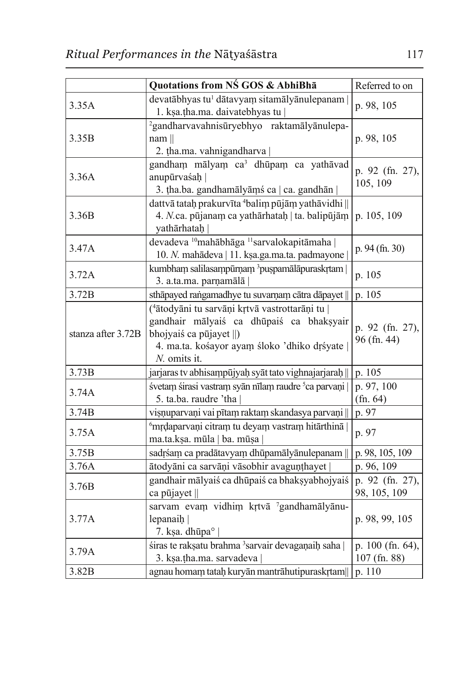|                    | Quotations from NS GOS & AbhiBha                                                                                                                                                                          | Referred to on                       |
|--------------------|-----------------------------------------------------------------------------------------------------------------------------------------------------------------------------------------------------------|--------------------------------------|
| 3.35A              | devatābhyas tu <sup>1</sup> dātavyam sitamālyānulepanam<br>1. kṣa.tha.ma. daivatebhyas tu                                                                                                                 | p. 98, 105                           |
| 3.35B              | <sup>2</sup> gandharvavahnisūryebhyo raktamālyānulepa-<br>$nam \parallel$<br>2. tha.ma. vahnigandharva                                                                                                    | p. 98, 105                           |
| 3.36A              | gandham mālyam ca <sup>3</sup> dhūpam ca yathāvad<br>anupūrvaśah<br>3. tha.ba. gandhamālyāmś ca   ca. gandhān                                                                                             | p. 92 (fn. 27),<br>105, 109          |
| 3.36B              | dattvā tatah prakurvīta <sup>4</sup> balim pūjām yathāvidhi   <br>4. N.ca. pūjanam ca yathārhataḥ   ta. balipūjām<br>yatharhatah                                                                          | p. 105, 109                          |
| 3.47A              | devadeva <sup>10</sup> mahābhāga <sup>11</sup> sarvalokapitāmaha  <br>10. N. mahādeva   11. kṣa.ga.ma.ta. padmayone                                                                                       | p. 94 (fn. 30)                       |
| 3.72A              | kumbham salilasampūrņam 3 puspamālāpuraskrtam<br>3. a.ta.ma. parņamālā                                                                                                                                    | p. 105                               |
| 3.72B              | sthāpayed rangamadhye tu suvarņam cātra dāpayet                                                                                                                                                           | p. 105                               |
| stanza after 3.72B | ( <sup>4</sup> ātodyāni tu sarvāņi krtvā vastrottarāņi tu<br>gandhair mālyais ca dhūpais ca bhaksyair<br>bhojyaiś ca pūjayet $\parallel$ )<br>4. ma.ta. kośayor ayam śloko 'dhiko drśyate<br>N. omits it. | p. 92 (fn. 27),<br>96 (fn. 44)       |
| 3.73B              | jarjaras tv abhisampūjyah syāt tato vighnajarjarah                                                                                                                                                        | p. 105                               |
| 3.74A              | śvetam śirasi vastram syān nīlam raudre <sup>5</sup> ca parvaņi<br>5. ta.ba. raudre 'tha                                                                                                                  | p. 97, 100<br>(fn. 64)               |
| 3.74B              | visnuparvani vai pītam raktam skandasya parvani                                                                                                                                                           | p. 97                                |
| 3.75A              | <sup>6</sup> mrdaparvani citram tu deyam vastram hitārthinā<br>ma.ta.kṣa. mūla   ba. mūṣa                                                                                                                 | p. 97                                |
| 3.75B              | sadrśam ca pradātavyam dhūpamālyānulepanam                                                                                                                                                                | p. 98, 105, 109                      |
| 3.76A              | ātodyāni ca sarvāņi vāsobhir avaguņthayet                                                                                                                                                                 | p. 96, 109                           |
| 3.76B              | gandhair mālyaiś ca dhūpaiś ca bhaksyabhojyaiś<br>ca pūjayet                                                                                                                                              | p. 92 (fn. 27),<br>98, 105, 109      |
| 3.77A              | sarvam evam vidhim krtvā <sup>7</sup> gandhamālyānu-<br>lepanaih  <br>7. kṣa. dhūpa $\circ$                                                                                                               | p. 98, 99, 105                       |
| 3.79A              | siras te rakṣatu brahma 3 sarvair devagaṇaiḥ saha<br>3. kṣa.tha.ma. sarvadeva                                                                                                                             | p. $100$ (fn. 64),<br>$107$ (fn. 88) |
| 3.82B              | agnau homam tataḥ kuryān mantrāhutipuraskṛtam                                                                                                                                                             | p. 110                               |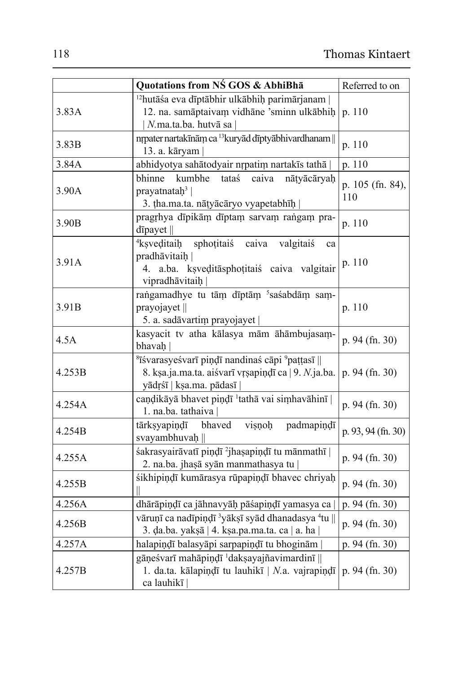|        | Quotations from NS GOS & AbhiBha                                                                                                                  | Referred to on          |
|--------|---------------------------------------------------------------------------------------------------------------------------------------------------|-------------------------|
| 3.83A  | $12$ hutāśa eva dīptābhir ulkābhiḥ parimārjanam<br>12. na. samāptaivam vidhāne 'sminn ulkābhiḥ<br>N.ma.ta.ba. hutvā sa                            | p. 110                  |
| 3.83B  | nrpater nartakīnām ca <sup>13</sup> kuryād dīptyābhivardhanam   <br>13. a. kāryam                                                                 | p. 110                  |
| 3.84A  | abhidyotya sahātodyair nrpatim nartakīs tathā                                                                                                     | p. 110                  |
| 3.90A  | bhinne<br>kumbhe<br>tataś<br>caiva<br>nātyācāryaḥ<br>prayatnatah <sup>3</sup>  <br>3. tha.ma.ta. nātyācāryo vyapetabhīḥ                           | p. 105 (fn. 84),<br>110 |
| 3.90B  | pragrhya dīpikām dīptam sarvam rangam pra-<br>$d$ <b>T</b> payet $\parallel$                                                                      | p. 110                  |
| 3.91A  | <sup>4</sup> ksveditaih sphotitais caiva valgitais<br>ca<br>pradhāvitaiḥ<br>4. a.ba. kșveditāsphoțitais caiva valgitair<br>vipradhāvitaiḥ         | p. 110                  |
| 3.91B  | rangamadhye tu tām dīptām <sup>5</sup> saśabdām sam-<br>prayojayet   <br>5. a. sadāvartim prayojayet                                              | p. 110                  |
| 4.5A   | kasyacit tv atha kālasya mām āhāmbujasam-<br>bhavah                                                                                               | p. 94 (fn. 30)          |
| 4.253B | $\delta$ īśvarasyeśvarī piņdī nandinas cāpi $\delta$ pattasī   <br>8. kṣa.ja.ma.ta. aiśvarī vṛṣapiṇḍī ca   9. N.ja.ba.<br>yādŗśī   kṣa.ma. pādasī | p. $94$ (fn. 30)        |
| 4.254A | caņdikāyā bhavet piņdī <sup>1</sup> tathā vai simhavāhinī  <br>1. na.ba. tathaiva                                                                 | p. 94 (fn. 30)          |
| 4.254B | tārksyapiņdī bhaved<br>vişnoh<br>padmapind<br>svayambhuvaḥ                                                                                        | p. 93, 94 (fn. 30)      |
| 4.255A | sakrasyairāvatī piņdī <sup>2</sup> jhasapiņdī tu mānmathī<br>2. na.ba. jhasā syān manmathasya tu                                                  | p. 94 (fn. 30)          |
| 4.255B | sikhipiņdī kumārasya rūpapiņdī bhavec chriyaḥ                                                                                                     | p. 94 (fn. 30)          |
| 4.256A | dhārāpiņdī ca jāhnavyāḥ pāśapiņdī yamasya ca                                                                                                      | p. $94$ (fn. 30)        |
| 4.256B | vāruņī ca nadīpiņdī <sup>3</sup> yāksī syād dhanadasya <sup>4</sup> tu   <br>3. da.ba. yakṣā   4. kṣa.pa.ma.ta. ca   a. ha                        | p. 94 (fn. 30)          |
| 4.257A | halapiņdī balasyāpi sarpapiņdī tu bhoginām                                                                                                        | p. 94 (fn. 30)          |
| 4.257B | gāņeśvarī mahāpiņdī <sup>1</sup> daksayajñavimardinī   <br>1. da.ta. kālapiņdī tu lauhikī   N.a. vajrapiņdī<br>ca lauhikī                         | p. $94$ (fn. 30)        |

 $\overline{a}$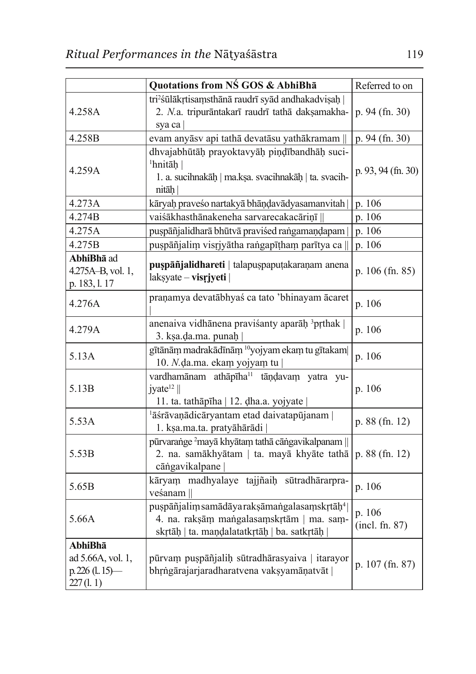|                                                    | Quotations from NS GOS & AbhiBha                                                                                                                    | Referred to on           |
|----------------------------------------------------|-----------------------------------------------------------------------------------------------------------------------------------------------------|--------------------------|
| 4.258A                                             | tri <sup>2</sup> śūlākŗtisamsthānā raudrī syād andhakadvisah<br>2. N.a. tripurāntakarī raudrī tathā dakṣamakha-<br>sya ca                           | p. $94$ (fn. 30)         |
| 4.258B                                             | evam anyāsv api tathā devatāsu yathākramam                                                                                                          | p. $94$ (fn. 30)         |
| 4.259A                                             | dhvajabhūtāh prayoktavyāḥ piṇḍībandhāḥ suci-<br><sup>1</sup> hnitāh<br>1. a. sucihnakāḥ   ma.kṣa. svacihnakāḥ   ta. svacih-<br>nitāh                | p. 93, 94 (fn. 30)       |
| 4.273A                                             | kāryah praveśo nartakyā bhāņdavādyasamanvitah                                                                                                       | p. 106                   |
| 4.274B                                             | vaiśākhasthānakeneha sarvarecakacāriņī                                                                                                              | p. 106                   |
| 4.275A                                             | puspāñjalidharā bhūtvā praviśed rangamandapam                                                                                                       | p. 106                   |
| 4.275B                                             | puspāñjalim visriyātha rangapītham parītya ca                                                                                                       | p. 106                   |
| AbhiBha ad<br>4.275A-B, vol. 1,<br>p. 183, l. 17   | puspāñjalidhareti   talapuspapuṭakaraṇam anena<br>$l$ aksyate – visriyeti                                                                           | p. $106$ (fn. 85)        |
| 4.276A                                             | praņamya devatābhyaś ca tato 'bhinayam ācaret                                                                                                       | p. 106                   |
| 4.279A                                             | anenaiva vidhānena pravišanty aparāh 3 prthak<br>3. kṣa.da.ma. punah                                                                                | p. 106                   |
| 5.13A                                              | gītānām madrakādīnām <sup>10</sup> yojyam ekam tu gītakam<br>10. N.da.ma. ekam yojyam tu                                                            | p. 106                   |
| 5.13B                                              | vardhamānam athāpīha <sup>11</sup> tāņdavam yatra yu-<br>jyate <sup>12</sup>   <br>11. ta. tathāpīha   12. dha.a. yojyate                           | p. 106                   |
| 5.53A                                              | <sup>1</sup> āśrāvaņādicāryantam etad daivatapūjanam  <br>1. kṣa.ma.ta. pratyāhārādi                                                                | p. $88$ (fn. 12)         |
| 5.53B                                              | pūrvarange <sup>2</sup> mayā khyātam tathā cāngavikalpanam   <br>2. na. samākhyātam   ta. mayā khyāte tathā  <br>cāṅgavikalpane                     | p. $88$ (fn. 12)         |
| 5.65B                                              | kāryam madhyalaye tajiñaih sūtradhārarpra-<br>veśanam                                                                                               | p. 106                   |
| 5.66A                                              | puspāñjalim samādāya raksāmangalasamskrtāh <sup>4</sup><br>4. na. raksām mangalasamskrtām   ma. sam-<br>skrtāḥ   ta. maṇḍalatatkṛtāḥ   ba. satkṛtāḥ | p. 106<br>(incl. fn. 87) |
| AbhiBha                                            |                                                                                                                                                     |                          |
| ad 5.66A, vol. 1,<br>$p.226$ (l. 15)—<br>227(1, 1) | pūrvam puspāñjalih sūtradhārasyaiva   itarayor<br>bhrngārajarjaradharatvena vaksyamāņatvāt                                                          | p. 107 (fn. 87)          |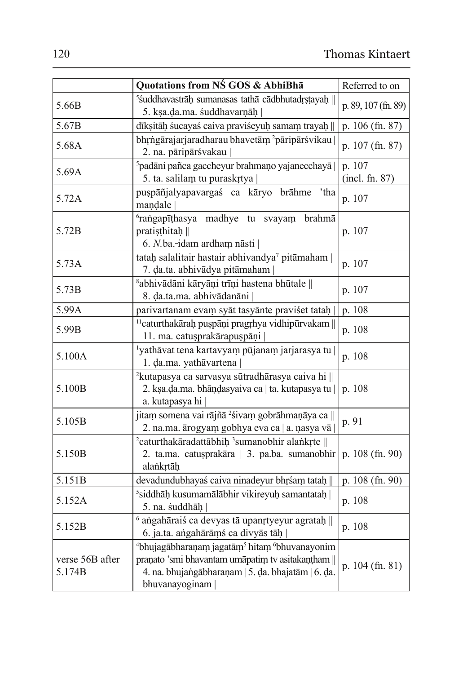|                           | Quotations from NS GOS & AbhiBha                                                                                                                                                                                | Referred to on           |
|---------------------------|-----------------------------------------------------------------------------------------------------------------------------------------------------------------------------------------------------------------|--------------------------|
| 5.66B                     | <sup>5</sup> śuddhavastrāḥ sumanasas tathā cādbhutadrstayaḥ   <br>5. kṣa.da.ma. śuddhavarṇāḥ                                                                                                                    | p. 89, 107 (fn. 89)      |
| 5.67B                     | dīksitāh sucayas caiva praviseyuh samam trayah                                                                                                                                                                  | p. $106$ (fn. 87)        |
| 5.68A                     | bhrngārajarjaradharau bhavetām <sup>2</sup> pāripārśvikau<br>2. na. pāripārśvakau                                                                                                                               | p. 107 (fn. 87)          |
| 5.69A                     | <sup>5</sup> padāni pañca gaccheyur brahmaņo yajanecchayā  <br>5. ta. salilam tu puraskrtya                                                                                                                     | p. 107<br>(incl. fn. 87) |
| 5.72A                     | puspāñjalyapavargaś ca kāryo brāhme<br>'tha<br>mandale                                                                                                                                                          | p. 107                   |
| 5.72B                     | <sup>6</sup> rangapithasya madhye tu svayam<br>brahmā<br>pratisthitah $\parallel$<br>6. N.ba.-idam ardham nāsti                                                                                                 | p. 107                   |
| 5.73A                     | tatah salalitair hastair abhivandya <sup>7</sup> pitāmaham  <br>7. da.ta. abhivādya pitāmaham                                                                                                                   | p. 107                   |
| 5.73B                     | <sup>8</sup> abhivādāni kāryāņi trīņi hastena bhūtale   <br>8. da.ta.ma. abhivādanāni                                                                                                                           | p. 107                   |
| 5.99A                     | parivartanam evam syāt tasyānte praviset tatah                                                                                                                                                                  | p. 108                   |
| 5.99B                     | <sup>11</sup> caturthakāraḥ puṣpāṇi pragṛhya vidhipūrvakam   <br>11. ma. catusprakārapuspāņi                                                                                                                    | p. 108                   |
| 5.100A                    | <sup>1</sup> yathāvat tena kartavyam pūjanam jarjarasya tu  <br>1. da.ma. yathāvartena                                                                                                                          | p. 108                   |
| 5.100B                    | <sup>2</sup> kutapasya ca sarvasya sūtradhārasya caiva hi $\parallel$<br>2. kṣa.da.ma. bhāṇḍasyaiva ca   ta. kutapasya tu  <br>a. kutapasya hi                                                                  | p. 108                   |
| 5.105B                    | jitam somena vai rājñā <sup>2</sup> sivam gobrāhmaņāya ca   <br>2. na.ma. ārogyam gobhya eva ca   a. nasya vā                                                                                                   | p. 91                    |
| 5.150B                    | $2$ caturthakāradattābhiḥ $3$ sumanobhir alankŗte $\parallel$<br>2. ta.ma. catușprakāra   3. pa.ba. sumanobhir<br>alankrtāḥ                                                                                     | p. $108$ (fn. 90)        |
| 5.151B                    | devadundubhayaś caiva ninadeyur bhrśam tatah                                                                                                                                                                    | p. $108$ (fn. 90)        |
| 5.152A                    | <sup>5</sup> siddhāḥ kusumamālābhir vikireyuḥ samantataḥ  <br>5. na. śuddhāḥ                                                                                                                                    | p. 108                   |
| 5.152B                    | $\delta$ angahārais ca devyas tā upanītyeyur agrataņ<br>6. ja.ta. angahārāmś ca divyās tāḥ                                                                                                                      | p. 108                   |
| verse 56B after<br>5.174B | <sup>4</sup> bhujagābharaņam jagatām <sup>5</sup> hitam <sup>6</sup> bhuvanayonim<br>praņato 'smi bhavantam umāpatim tv asitakaņtham   <br>4. na. bhujangābharaṇam   5. da. bhajatām   6. da.<br>bhuvanayoginam | p. $104$ (fn. 81)        |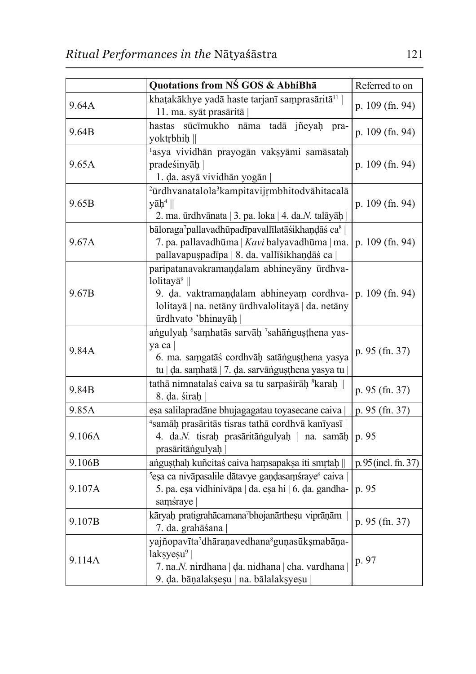|        | Quotations from NS GOS & AbhiBha                                                                                                                                                                               | Referred to on       |
|--------|----------------------------------------------------------------------------------------------------------------------------------------------------------------------------------------------------------------|----------------------|
| 9.64A  | khaṭakākhye yadā haste tarjanī samprasāritā <sup>11</sup><br>11. ma. syāt prasāritā                                                                                                                            | p. 109 (fn. 94)      |
| 9.64B  | hastas sūcīmukho nāma tadā jñeyaḥ<br>pra-<br>yoktrbhiḥ                                                                                                                                                         | p. 109 (fn. 94)      |
| 9.65A  | <sup>1</sup> asya vividhān prayogān vaksyāmi samāsataḥ<br>pradeśinyāḥ<br>1. da. asyā vividhān yogān                                                                                                            | p. 109 (fn. 94)      |
| 9.65B  | <sup>2</sup> ūrdhvanatalola <sup>3</sup> kampitavijŗmbhitodvāhitacalā<br>$y\bar{a}h^4$   <br>2. ma. ūrdhvānata   3. pa. loka   4. da. <i>N</i> . talāyāḥ                                                       | p. 109 (fn. 94)      |
| 9.67A  | bāloraga <sup>7</sup> pallavadhūpadīpavallīlatāśikhaņdāś ca <sup>8</sup>  <br>7. pa. pallavadhūma   Kavi balyavadhūma   ma.<br>pallavapuspadīpa   8. da. vallīšikhaņdās ca                                     | p. 109 (fn. 94)      |
| 9.67B  | paripatanavakramaņdalam abhineyāny ūrdhva-<br>lolitay $\bar{a}^9$   <br>9. da. vaktramandalam abhineyam cordhva- $ p. 109$ (fn. 94)<br>lolitayā   na. netāny ūrdhvalolitayā   da. netāny<br>ūrdhvato 'bhinayāḥ |                      |
| 9.84A  | angulyah <sup>6</sup> samhatās sarvāḥ <sup>7</sup> sahānguṣṭhena yas-<br>ya ca<br>6. ma. samgatāś cordhvāḥ satāṅguṣṭhena yasya<br>tu   da. samhatā   7. da. sarvāngus thena yasya tu                           | p. 95 (fn. 37)       |
| 9.84B  | tathā nimnatalas caiva sa tu sarpasirāņ <sup>8</sup> karaņ   <br>8. da. śirah                                                                                                                                  | p. 95 (fn. 37)       |
| 9.85A  | eșa salilapradāne bhujagagatau toyasecane caiva                                                                                                                                                                | p. $95$ (fn. 37)     |
| 9.106A | $^4$ samāḥ prasāritās tisras tathā cordhvā kanīyasī $\mid$<br>4. da.N. tisrah prasāritāngulyah   na. samāh   p. 95<br>prasāritāngulyaḥ                                                                         |                      |
| 9.106B | angusthah kuñcitaś caiva hamsapaksa iti smrtah                                                                                                                                                                 | p. 95 (incl. fn. 37) |
| 9.107A | <sup>5</sup> eșa ca nivāpasalile dātavye gaņdasamśraye <sup>6</sup> caiva  <br>5. pa. esa vidhinivāpa   da. esa hi   6. da. gandha-<br>samśraye                                                                | p. 95                |
| 9.107B | kāryaḥ pratigrahācamana <sup>7</sup> bhojanārtheṣu viprāṇām   <br>7. da. grahāśana                                                                                                                             | p. 95 (fn. 37)       |
| 9.114A | yajñopavīta <sup>7</sup> dhāraņavedhana <sup>8</sup> guņasūksmabāņa-<br>laksyesu <sup>9</sup>  <br>7. na.N. nirdhana   da. nidhana   cha. vardhana  <br>9. da. bāņalaksesu   na. bālalaksyesu                  | p. 97                |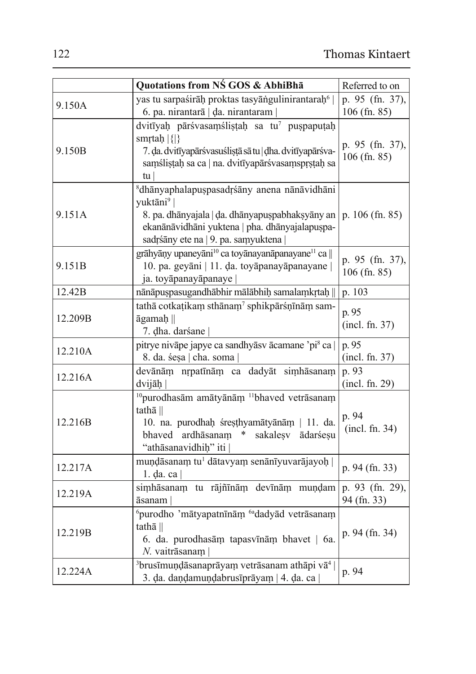|         | Quotations from NS GOS & AbhiBha                                                                                                                                                                                                                | Referred to on                    |
|---------|-------------------------------------------------------------------------------------------------------------------------------------------------------------------------------------------------------------------------------------------------|-----------------------------------|
| 9.150A  | yas tu sarpaśirāh proktas tasyāngulinirantarah <sup>6</sup><br>6. pa. nirantarā   da. nirantaram                                                                                                                                                | p. 95 (fn. 37),<br>$106$ (fn. 85) |
| 9.150B  | dvitīyaḥ pārśvasaṃśliṣṭaḥ sa tu <sup>7</sup> puṣpapuṭaḥ<br>smrtah $ \{\}$<br>7. da. dvitīyapārśvasuślistā sā tu   dha. dvitīyapārśva-<br>samślistah sa ca   na. dvitīyapārśvasamsprstah sa<br>tu                                                | p. 95 (fn. 37),<br>$106$ (fn. 85) |
| 9.151A  | <sup>8</sup> dhānyaphalapuspasadrśāny anena nānāvidhāni<br>yuktāni <sup>9</sup>  <br>8. pa. dhānyajala   da. dhānyapuspabhaksyāny an   p. 106 (fn. 85)<br>ekanānāvidhāni yuktena   pha. dhānyajalapuspa-<br>sadrśāny ete na   9. pa. samyuktena |                                   |
| 9.151B  | grāhyāny upaneyāni <sup>10</sup> ca toyānayanāpanayane <sup>11</sup> ca   <br>10. pa. geyāni   11. da. toyāpanayāpanayane  <br>ja. toyāpanayāpanaye                                                                                             | p. 95 (fn. 37),<br>$106$ (fn. 85) |
| 12.42B  | nānāpuspasugandhābhir mālābhiḥ samalamkrtaḥ                                                                                                                                                                                                     | p. 103                            |
| 12.209B | tathā cotkațikam sthānam <sup>7</sup> sphikpārśņīnām sam-<br>āgamaḥ   <br>7. dha. darśane                                                                                                                                                       | p. 95<br>$(incl.$ fn. 37)         |
| 12.210A | pitrye nivāpe japye ca sandhyāsv ācamane 'pi <sup>8</sup> ca  <br>8. da. śesa   cha. soma                                                                                                                                                       | p. 95<br>$(incl.$ fn. 37)         |
| 12.216A | devānām nrpatīnām ca dadyāt simhāsanam<br>dvijāh                                                                                                                                                                                                | p. 93<br>(incl. fn. 29)           |
| 12.216B | <sup>10</sup> purodhasām amātyānām <sup>11</sup> bhaved vetrāsanam<br>tatha   <br>10. na. purodhaḥ śreṣṭhyamātyānām   11. da.<br>bhaved ardhāsanam * sakalesv ādaršesu<br>"athāsanavidhih" iti                                                  | p. 94<br>(incl. fn. 34)           |
| 12.217A | muņdāsanam tu <sup>1</sup> dātavyam senānīyuvarājayoh  <br>$1.$ da. ca                                                                                                                                                                          | p. 94 (fn. 33)                    |
| 12.219A | simhāsanam tu rājñīnām devīnām muņdam<br>āsanam                                                                                                                                                                                                 | p. 93 (fn. 29),<br>94 (fn. 33)    |
| 12.219B | <sup>6</sup> purodho 'mātyapatnīnām <sup>6a</sup> dadyād vetrāsanam<br>tatha $\parallel$<br>6. da. purodhasām tapasvīnām bhavet   6a.<br>$N$ . vaitrāsanam                                                                                      | p. 94 (fn. 34)                    |
| 12.224A | <sup>3</sup> brusīmuņdāsanaprāyam vetrāsanam athāpi vā <sup>4</sup>  <br>3. da. daņdamuņdabrusīprāyam   4. da. ca                                                                                                                               | p. 94                             |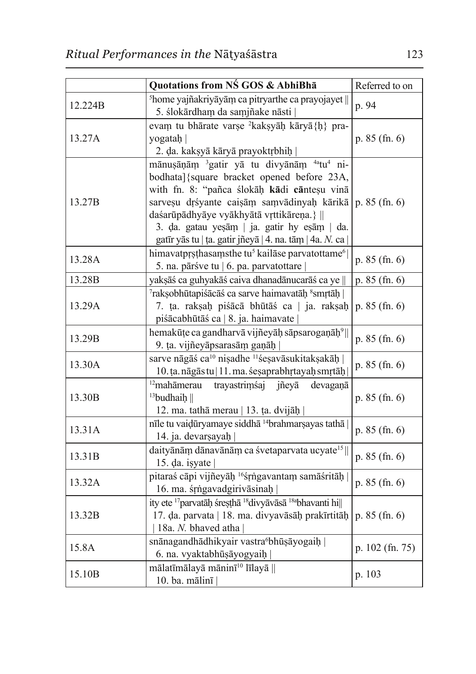|         | Quotations from NS GOS & AbhiBha                                                                                                                                                                                                                                                                                                                                                                 | Referred to on    |
|---------|--------------------------------------------------------------------------------------------------------------------------------------------------------------------------------------------------------------------------------------------------------------------------------------------------------------------------------------------------------------------------------------------------|-------------------|
| 12.224B | <sup>5</sup> home yajñakriyāyām ca pitryarthe ca prayojayet   <br>5. ślokārdham da samjñake nāsti                                                                                                                                                                                                                                                                                                | p. 94             |
| 13.27A  | evam tu bhārate varse <sup>2</sup> kaksyāḥ kāryā{ḥ} pra-<br>yogatah<br>2. da. kaksyā kāryā prayoktrbhiḥ                                                                                                                                                                                                                                                                                          | $p. 85$ (fn. 6)   |
| 13.27B  | mānusāņām <sup>3</sup> gatir yā tu divyānām <sup>4a</sup> tu <sup>4</sup> ni-<br>bodhata]{square bracket opened before 23A,<br>with fn. 8: "pañca ślokāh kādi cānteșu vinā<br>sarvesu dršyante caisām samvādinyah kārikā   p. 85 (fn. 6)<br>daśarūpādhyāye vyākhyātā vṛttikāreṇa.}   <br>3. da. gatau yeşām   ja. gatir hy eşām   da.<br>gatīr yās tu   ta. gatir jñeyā   4. na. tām   4a. N. ca |                   |
| 13.28A  | himavatprsthasamsthe tu <sup>5</sup> kailāse parvatottame <sup>6</sup><br>5. na. pārśve tu   6. pa. parvatottare                                                                                                                                                                                                                                                                                 | $p. 85$ (fn. 6)   |
| 13.28B  | yakṣāś ca guhyakāś caiva dhanadānucarāś ca ye                                                                                                                                                                                                                                                                                                                                                    | $p. 85$ (fn. 6)   |
| 13.29A  | 7raksobhūtapiśācāś ca sarve haimavatāḥ 8 smrtāḥ<br>7. ta. raksah piśācā bhūtāś ca   ja. raksah   p. 85 (fn. 6)<br>piśācabhūtāś ca $ 8$ . ja. haimavate                                                                                                                                                                                                                                           |                   |
| 13.29B  | hemakūțe ca gandharvā vijñeyāḥ sāpsarogaṇāḥ <sup>9</sup><br>9. ta. vijñeyāpsarasām gaņāh                                                                                                                                                                                                                                                                                                         | $p. 85$ (fn. 6)   |
| 13.30A  | sarve nāgās ca <sup>10</sup> nisadhe <sup>11</sup> sesavāsukitaksakāh<br>10. ta. nāgās tu   11. ma. śesaprabhrtayaḥ smrtāḥ                                                                                                                                                                                                                                                                       | $p. 85$ (fn. 6)   |
| 13.30B  | $12$ mahāmerau<br>trayastrimśaj<br>jñeyā<br>devaganā<br>$13$ budhaih $\parallel$<br>12. ma. tathā merau   13. ta. dvijāb                                                                                                                                                                                                                                                                         | $p. 85$ (fn. 6)   |
| 13.31A  | nīle tu vaidūryamaye siddhā <sup>14</sup> brahmarsayas tathā<br>14. ja. devarsayah                                                                                                                                                                                                                                                                                                               | p. 85 (fn. 6)     |
| 13.31B  | daityānām dānavānām ca śvetaparvata ucyate <sup>15</sup>   <br>15. da. isyate                                                                                                                                                                                                                                                                                                                    | $p. 85$ (fn. 6)   |
| 13.32A  | pitaraś cāpi vijñeyāḥ <sup>16</sup> śrngavantam samāśritāḥ<br>16. ma. śrngavadgirivāsinah                                                                                                                                                                                                                                                                                                        | $p. 85$ (fn. 6)   |
| 13.32B  | ity ete <sup>17</sup> parvatāḥ śreṣṭhā <sup>18</sup> divyāvāsā <sup>18a</sup> bhavanti hi<br>17. da. parvata   18. ma. divyavāsāh prakīrtitāh<br>18a. N. bhaved atha                                                                                                                                                                                                                             | p. $85$ (fn. 6)   |
| 15.8A   | snānagandhādhikyair vastra <sup>6</sup> bhūsāyogaih<br>6. na. vyaktabhūsāyogyaih                                                                                                                                                                                                                                                                                                                 | p. $102$ (fn. 75) |
| 15.10B  | mālatīmālayā māninī <sup>10</sup> līlayā   <br>10. ba. mālinī $ $                                                                                                                                                                                                                                                                                                                                | p. 103            |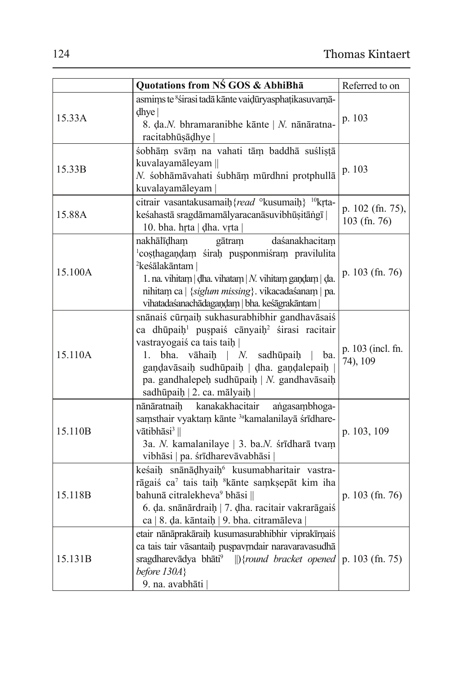|         | Quotations from NS GOS & AbhiBha                                                                                                                                                                                                                                                                                                         | Referred to on                     |
|---------|------------------------------------------------------------------------------------------------------------------------------------------------------------------------------------------------------------------------------------------------------------------------------------------------------------------------------------------|------------------------------------|
| 15.33A  | asmims te <sup>8</sup> sirasi tadā kānte vaidūryasphaṭikasuvarņā-<br>$d$ hye<br>8. da.N. bhramaranibhe kānte   N. nānāratna-<br>racitabhūșādhye                                                                                                                                                                                          | p. 103                             |
| 15.33B  | sobhām svām na vahati tām baddhā suslistā<br>kuvalayamāleyam   <br>N. śobhāmāvahati śubhām mūrdhni protphullā<br>kuvalayamāleyam                                                                                                                                                                                                         | p. 103                             |
| 15.88A  | citrair vasantakusamaih {read °kusumaih} <sup>10</sup> krta-<br>kesahastā sragdāmamālyaracanāsuvibhūsitāngī  <br>10. bha. hrta $ $ dha. vrta $ $                                                                                                                                                                                         | p. 102 (fn. 75),<br>$103$ (fn. 76) |
| 15.100A | nakhālīdham<br>daśanakhacitam<br>gātram<br><sup>1</sup> costhagandam śirah pusponmiśram pravilulita<br>$2$ keśālakāntam<br>1. na. vihitam   dha. vihatam   N. vihitam gandam   da.<br>nihitam ca   {siglum missing}. vikacadaśanam   pa.<br>vihatadaśanachādagaṇḍaṃ   bha. keśāgrakāntam                                                 | p. $103$ (fn. 76)                  |
| 15.110A | snānaiś cūrņaih sukhasurabhibhir gandhavāsaiś<br>ca dhūpaih <sup>1</sup> puspais cānyaih <sup>2</sup> sirasi racitair<br>vastrayogais ca tais taib<br>bha. vāhai $h \mid N$ . sadhūpai $h \mid ba$ .<br>1.<br>gaņdavāsaiņ sudhūpaiņ   dha. gaņdalepaiņ  <br>pa. gandhalepeh sudhūpaih   $N$ . gandhavāsaih<br>sadhūpaiḥ   2. ca. mālyaiḥ | p. 103 (incl. fn.<br>74), 109      |
| 15.110B | nānāratnaih kanakakhacitair<br>angasambhoga-<br>saṃsthair vyaktaṃ kānte <sup>3a</sup> kamalanilayā śrīdhare-<br>vātibhāsi <sup>3</sup>   <br>3a. N. kamalanilaye   3. ba. N. śrīdharā tvam<br>vibhāsi   pa. śrīdharevāvabhāsi                                                                                                            | p. 103, 109                        |
| 15.118B | keśaih snānādhyaih <sup>6</sup> kusumabharitair vastra-<br>rāgais ca <sup>7</sup> tais taiņ <sup>8</sup> kānte samkṣepāt kim iha<br>bahunā citralekheva <sup>9</sup> bhāsi   <br>6. da. snānārdraih   7. dha. racitair vakrarāgais<br>ca   8. da. kāntaiņ   9. bha. citramāleva                                                          | p. $103$ (fn. 76)                  |
| 15.131B | etair nānāprakāraih kusumasurabhibhir viprakīrņais<br>ca tais tair vāsantaih puspavrndair naravaravasudhā<br>sragdharevādya bhāti <sup>9</sup>   ){ <i>round bracket opened</i>   p. 103 (fn. 75)<br>before $130A$ }<br>9. na. avabhāti                                                                                                  |                                    |

 $\overline{a}$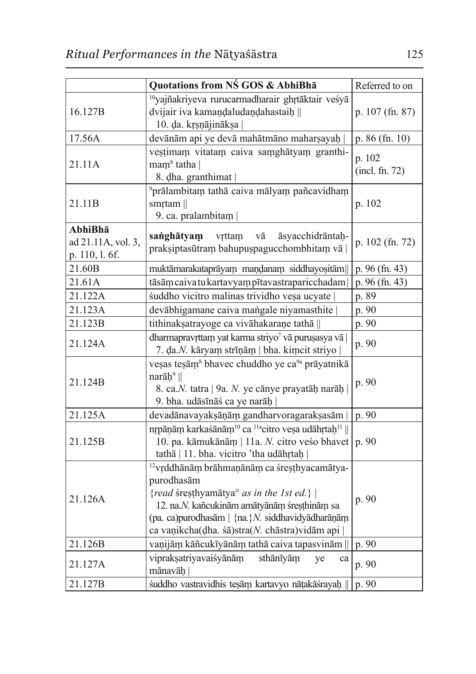|                                                 | Quotations from NS GOS & AbhiBha                                                                                                                                                                                                                                                        | Referred to on           |
|-------------------------------------------------|-----------------------------------------------------------------------------------------------------------------------------------------------------------------------------------------------------------------------------------------------------------------------------------------|--------------------------|
| 16.127B                                         | <sup>10</sup> yajñakriyeva rurucarmadharair ghrtāktair veśyā<br>dvijair iva kamaņdaludaņdahastaiņ<br>10. da. krsnājināksa                                                                                                                                                               | p. $107$ (fn. 87)        |
| 17.56A                                          | devānām api ye devā mahātmāno maharsayaḥ                                                                                                                                                                                                                                                | p. $86$ (fn. 10)         |
| 21.11A                                          | vestimam vitatam caiva samghātyam granthi-<br>mam <sup>8</sup> tatha<br>8. dha. granthimat                                                                                                                                                                                              | p. 102<br>(incl. fn. 72) |
| 21.11B                                          | <sup>9</sup> prālambitam tathā caiva mālyam pañcavidham<br>smrtam $\parallel$<br>9. ca. pralambitam                                                                                                                                                                                     | p. 102                   |
| AbhiBha<br>ad 21.11A, vol. 3,<br>p. 110, l. 6f. | sanghātyam<br>vṛttaṃ<br>āsyacchidrāntaḥ-<br>vā<br>praksiptasūtram bahupuspagucchombhitam vā                                                                                                                                                                                             | p. 102 (fn. 72)          |
| 21.60B                                          | muktāmarakataprāyam maņdanam siddhayositām                                                                                                                                                                                                                                              | $p.96$ (fn. 43)          |
| 21.61A                                          | tāsām caiva tu kartavyam pītavastraparicchadam                                                                                                                                                                                                                                          | p. 96 (fn. 43)           |
| 21.122A                                         | śuddho vicitro malinas trividho vesa ucyate                                                                                                                                                                                                                                             | p. 89                    |
| 21.123A                                         | devābhigamane caiva mangale niyamasthite                                                                                                                                                                                                                                                | p. 90                    |
| 21.123B                                         | tithinakṣatrayoge ca vivāhakaraṇe tathā                                                                                                                                                                                                                                                 | p. 90                    |
| 21.124A                                         | dharmapravrttam yat karma striyo <sup>7</sup> vā purusasya vā  <br>7. da.N. kāryam strīņām   bha. kimcit striyo                                                                                                                                                                         | p. 90                    |
| 21.124B                                         | vesas tesām <sup>8</sup> bhavec chuddho ye ca <sup>9a</sup> prāyatnikā<br>narāh <sup>9</sup>   <br>8. ca.N. tatra   9a. N. ye cānye prayatāḥ narāḥ  <br>9. bha. udāsīnāś ca ye narāḥ                                                                                                    | p. 90                    |
| 21.125A                                         | devadānavayakṣāṇāṃ gandharvoragarakṣasām                                                                                                                                                                                                                                                | p. 90                    |
| 21.125B                                         | nrpāņām karkaśānām <sup>10</sup> ca <sup>11a</sup> citro vesa udāhrtaņ <sup>11</sup>   <br>10. pa. kāmukānām   11a. N. citro veso bhavet   p. 90<br>tathā   11. bha. vicitro 'tha udāhrtaḥ                                                                                              |                          |
| 21.126A                                         | <sup>12</sup> vrddhānām brāhmaņānām ca śresthyacamātya-<br>purodhasām<br>{read śresthyamātya° as in the 1st ed.}  <br>12. na. N. kañcukinām amātyānām śreșțhinām sa<br>(pa. ca)purodhasām $\vert$ {na.} N. siddhavidyādharāṇāṃ<br>ca vanikcha $(dha. \s{a}) stra(N. chāstra) vidām api$ | p. 90                    |
| 21.126B                                         | vaņijām kāñcukīyānām tathā caiva tapasvinām                                                                                                                                                                                                                                             | p. 90                    |
| 21.127A                                         | vipraksatriyavaiśyānām<br>sthānīyām<br>ye<br>ca<br>mānavāḥ                                                                                                                                                                                                                              | p. 90                    |
| 21.127B                                         | śuddho vastravidhis teşām kartavyo nāṭakāśrayaḥ                                                                                                                                                                                                                                         | p. 90                    |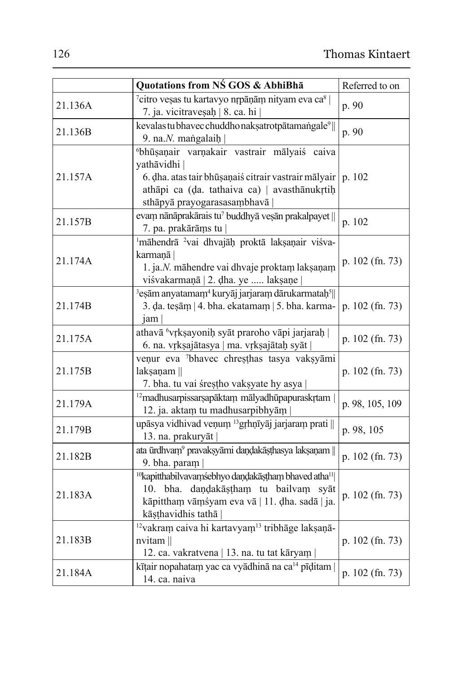|         | Quotations from NS GOS & AbhiBha                                                                                                                                                                                        | Referred to on    |
|---------|-------------------------------------------------------------------------------------------------------------------------------------------------------------------------------------------------------------------------|-------------------|
| 21.136A | <sup>7</sup> citro veșas tu kartavyo nrpāņām nityam eva ca <sup>8</sup>  <br>7. ja. vicitravesah   8. ca. hi                                                                                                            | p. 90             |
| 21.136B | kevalas tu bhavec chuddho nakṣatrotpātamaṅgale <sup>9</sup>   <br>9. na.N. mangalaih                                                                                                                                    | p. 90             |
| 21.157A | <sup>6</sup> bhūșaņair varņakair vastrair mālyaiś caiva<br>yathāvidhi  <br>6. dha. atas tair bhūșanais citrair vastrair mālyair   p. 102<br>athāpi ca (da. tathaiva ca)   avasthānukrtiņ<br>sthāpyā prayogarasasambhavā |                   |
| 21.157B | evam nānāprakārais tu <sup>7</sup> buddhyā vesān prakalpayet   <br>7. pa. prakārāms tu                                                                                                                                  | p. 102            |
| 21.174A | <sup>1</sup> māhendrā <sup>2</sup> vai dhvajāh proktā laksaņair visva-<br>karmanā  <br>1. ja.N. māhendre vai dhvaje proktam laksaņam<br>viśvakarmaņā   2. dha. ye  laksaņe                                              | p. $102$ (fn. 73) |
| 21.174B | $3$ esām anyatamam <sup>4</sup> kuryāj jarjaram dārukarmatah <sup>5</sup><br>3. da. tesām   4. bha. ekatamam   5. bha. karma-<br>jam                                                                                    | p. 102 (fn. 73)   |
| 21.175A | athavā <sup>6</sup> vrksayonih syāt praroho vāpi jarjarah  <br>6. na. vrksajātasya   ma. vrksajātaḥ syāt                                                                                                                | p. $102$ (fn. 73) |
| 21.175B | veņur eva 7bhavec chresthas tasya vaksyāmi<br>laksanam<br>7. bha. tu vai śrestho vaksyate hy asya                                                                                                                       | p. $102$ (fn. 73) |
| 21.179A | <sup>12</sup> madhusarpissarsapāktam mālyadhūpapuraskrtam<br>12. ja. aktam tu madhusarpibhyām                                                                                                                           | p. 98, 105, 109   |
| 21.179B | upāsya vidhivad veņum $^{13}$ grhņīyāj jarjaram prati   <br>13. na. prakuryāt                                                                                                                                           | p. 98, 105        |
| 21.182B | ata ūrdhvam <sup>9</sup> pravaksyāmi daņdakāsthasya laksaņam   <br>9. bha. param                                                                                                                                        | p. 102 (fn. 73)   |
| 21.183A | <sup>10</sup> kapitthabilvavamśebhyo dandakāstham bhaved atha <sup>11</sup><br>10. bha. daņdakāstham tu bailvam syāt<br>kāpittham vāmsvam eva vā   11. dha. sadā   ja.<br>kāsthavidhis tathā                            | p. 102 (fn. 73)   |
| 21.183B | <sup>12</sup> vakram caiva hi kartavyam <sup>13</sup> tribhāge laksaņā-<br>nvitam $\parallel$<br>12. ca. vakratvena   13. na. tu tat kāryam                                                                             | p. 102 (fn. 73)   |
| 21.184A | kītair nopahatam yac ca vyādhinā na ca <sup>14</sup> pīditam  <br>14. ca. naiva                                                                                                                                         | p. $102$ (fn. 73) |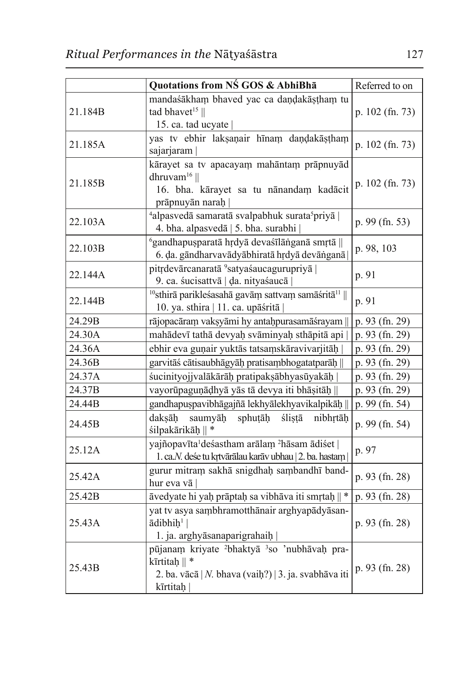|         | Quotations from NS GOS & AbhiBha                                                                                                               | Referred to on    |
|---------|------------------------------------------------------------------------------------------------------------------------------------------------|-------------------|
| 21.184B | mandaśākham bhaved yac ca daņdakāstham tu<br>tad bhavet <sup>15</sup>   <br>15. ca. tad ucyate                                                 | p. $102$ (fn. 73) |
| 21.185A | yas tv ebhir laksanair hīnam daņdakāstham<br>sajarjaram                                                                                        | p. 102 (fn. 73)   |
| 21.185B | kārayet sa tv apacayam mahāntam prāpnuyād<br>dhruvam <sup>16</sup>   <br>16. bha. kārayet sa tu nānandam kadācit<br>prāpnuyān naraḥ            | p. $102$ (fn. 73) |
| 22.103A | <sup>4</sup> alpasvedā samaratā svalpabhuk surata <sup>5</sup> priyā  <br>4. bha. alpasvedā   5. bha. surabhi                                  | p. 99 (fn. 53)    |
| 22.103B | <sup>6</sup> gandhapușparatā hrdyā devaśīlānganā smrtā   <br>6. da. gāndharvavādyābhiratā hrdyā devānganā                                      | p. 98, 103        |
| 22.144A | pitrdevārcanaratā <sup>9</sup> satyaśaucagurupriyā  <br>9. ca. śucisattvā   da. nityaśaucā                                                     | p. 91             |
| 22.144B | <sup>10</sup> sthirā pariklesasahā gavām sattvam samāsritā <sup>11</sup>   <br>10. ya. sthira   11. ca. upāśritā                               | p. 91             |
| 24.29B  | rājopacāram vaksyāmi hy antahpurasamāśrayam                                                                                                    | p. 93 (fn. 29)    |
| 24.30A  | mahādevī tathā devyaḥ svāminyaḥ sthāpitā api                                                                                                   | p. 93 (fn. 29)    |
| 24.36A  | ebhir eva guņair yuktās tatsamskāravivarjitāh                                                                                                  | p. 93 (fn. 29)    |
| 24.36B  | garvitāś cātisaubhāgyāḥ pratisaṃbhogatatparāḥ                                                                                                  | p. 93 (fn. 29)    |
| 24.37A  | śucinityojivalākārāh pratipaksābhyasūyakāh                                                                                                     | p. 93 (fn. 29)    |
| 24.37B  | vayorūpaguņādhyā yās tā devya iti bhāșitāḥ                                                                                                     | p. 93 (fn. 29)    |
| 24.44B  | gandhapuspavibhāgajñā lekhyālekhyavikalpikāḥ                                                                                                   | p. 99 (fn. 54)    |
| 24.45B  | daksāh<br>sphuțāḥ<br>slista<br>nibhrtāh<br>saumyāh<br>$\sinh(\bar{x})$ silpakārikāņ                                                            | p. 99 (fn. 54)    |
| 25.12A  | yajñopavīta <sup>1</sup> desastham arālam <sup>2</sup> hāsam ādiset<br>1. ca. N. deśe tu krtvārālau karāv ubhau   2. ba. hastam                | p. 97             |
| 25.42A  | gurur mitram sakhā snigdhaḥ sambandhī band-<br>hur eva vā $ $                                                                                  | p. 93 (fn. 28)    |
| 25.42B  | āvedyate hi yaḥ prāptaḥ sa vibhāva iti smṛtaḥ    *                                                                                             | p. 93 (fn. 28)    |
| 25.43A  | yat tv asya sambhramotthānair arghyapādyāsan-<br>$\bar{a}$ dibhih <sup>1</sup><br>1. ja. arghyāsanaparigrahaiḥ                                 | $p. 93$ (fn. 28)  |
| 25.43B  | pūjanam kriyate <sup>2</sup> bhaktyā 3so 'nubhāvaḥ pra-<br>kīrtitah $\ $ *<br>2. ba. vācā   N. bhava (vaiḥ?)   3. ja. svabhāva iti<br>kīrtitah | p. 93 (fn. 28)    |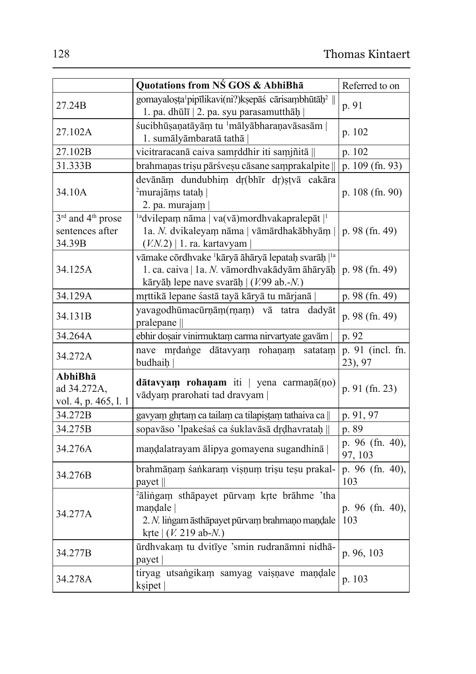|                                                            | Quotations from NS GOS & AbhiBha                                                                                                                                                    | Referred to on              |
|------------------------------------------------------------|-------------------------------------------------------------------------------------------------------------------------------------------------------------------------------------|-----------------------------|
| 27.24B                                                     | gomayalosta <sup>1</sup> pipīlikavi(ni?)ksepāś cārisambhūtāh <sup>2</sup>   <br>1. pa. dhūlī   2. pa. syu parasamutthāḥ                                                             | p. 91                       |
| 27.102A                                                    | sucibhūṣaṇatāyāṃ tu <sup>1</sup> mālyābharaṇavāsasām  <br>1. sumālyāmbaratā tathā                                                                                                   | p. 102                      |
| 27.102B                                                    | vicitraracanā caiva samrddhir iti samjñitā                                                                                                                                          | p. 102                      |
| 31.333B                                                    | brahmaņas trișu pārśveșu cāsane samprakalpite                                                                                                                                       | p. $109$ (fn. 93)           |
| 34.10A                                                     | devānām dundubhim dr(bhīr dr)ștvā cakāra<br><sup>2</sup> murajāms tataņ<br>2. pa. murajam                                                                                           | p. $108$ (fn. 90)           |
| 3rd and 4 <sup>th</sup> prose<br>sentences after<br>34.39B | <sup>1a</sup> dvilepam nāma   va(vā)mordhvakapralepāt   <sup>1</sup><br>1a. N. dvikaleyam nāma   vāmārdhakābhyām  <br>$(V.N.2)$   1. ra. kartavyam                                  | p. 98 (fn. 49)              |
| 34.125A                                                    | vāmake cordhvake <sup>1</sup> kāryā āhāryā lepataḥ svarāḥ   <sup>1a</sup><br>1. ca. caiva   1a. N. vāmordhvakādyām āhāryāḥ  <br>kāryāḥ lepe nave svarāḥ $ (V.99 \text{ ab.} - N.)($ | p. 98 (fn. 49)              |
| 34.129A                                                    | mŗttikā lepane śastā tayā kāryā tu mārjanā                                                                                                                                          | p. 98 (fn. 49)              |
| 34.131B                                                    | yavagodhūmacūrņām(rņam) vā tatra dadyāt<br>pralepane                                                                                                                                | p. 98 (fn. 49)              |
| 34.264A                                                    | ebhir doşair vinirmuktam carma nirvartyate gavām                                                                                                                                    | p. 92                       |
| 34.272A                                                    | nave mrdange dātavyam rohaņam satatam<br>budhaih                                                                                                                                    | p. 91 (incl. fn.<br>23), 97 |
| AbhiBha<br>ad 34.272A,<br>vol. 4, p. 465, l. 1             | dātavyam rohaņam iti   yena carmaņā(no)<br>vādyam prarohati tad dravyam                                                                                                             | p. 91 (fn. 23)              |
| 34.272B                                                    | gavyam ghrtam ca tailam ca tilapistam tathaiva ca                                                                                                                                   | p. 91, 97                   |
| 34.275B                                                    | sopavāso 'lpakeśaś ca śuklavāsā dṛḍhavrataḥ                                                                                                                                         | p. 89                       |
| 34.276A                                                    | maņdalatrayam ālipya gomayena sugandhinā                                                                                                                                            | p. 96 (fn. 40),<br>97, 103  |
| 34.276B                                                    | brahmāņam śankaram visņum trisu tesu prakal-<br>payet                                                                                                                               | p. 96 (fn. 40),<br>103      |
| 34.277A                                                    | <sup>2</sup> alingam sthapayet pūrvam krte brāhme 'tha<br>mandale<br>2. N. lingam āsthāpayet pūrvam brahmaņo maņdale<br>krte $ (V. 219 \text{ ab-}N.) $                             | p. 96 (fn. 40),<br>103      |
| 34.277B                                                    | ūrdhvakam tu dvitīye 'smin rudranāmni nidhā-<br>payet                                                                                                                               | p. 96, 103                  |
| 34.278A                                                    | tiryag utsangikam samyag vaisnave mandale<br>$k$ sipet                                                                                                                              | p. 103                      |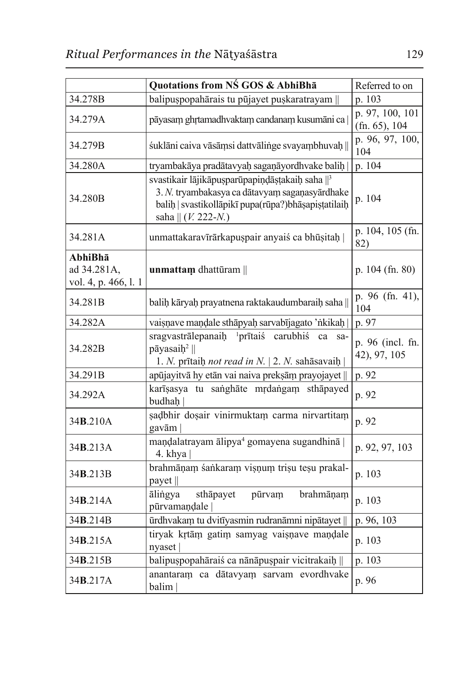|                                                | Quotations from NS GOS & AbhiBha                                                                                                                                                             | Referred to on                             |
|------------------------------------------------|----------------------------------------------------------------------------------------------------------------------------------------------------------------------------------------------|--------------------------------------------|
| 34.278B                                        | balipuspopahārais tu pūjayet puskaratrayam                                                                                                                                                   | p. 103                                     |
| 34.279A                                        | pāyasam ghrtamadhvaktam candanam kusumāni ca                                                                                                                                                 | p. 97, 100, 101<br>$(\text{fn. } 65), 104$ |
| 34.279B                                        | suklāni caiva vāsāmsi dattvālinge svayambhuvaḥ                                                                                                                                               | p. 96, 97, 100,<br>104                     |
| 34.280A                                        | tryambakāya pradātavyaḥ sagaṇāyordhvake baliḥ                                                                                                                                                | p. 104                                     |
| 34.280B                                        | svastikair lājikāpusparūpapiņdāstakaiņ saha $\mathbb{I}^3$<br>3. N. tryambakasya ca dātavyam sagaņasyārdhake<br>balih   svastikollāpikī pupa(rūpa?)bhāṣapiṣṭatilaiḥ<br>saha $   (V. 222-N.)$ | p. 104                                     |
| 34.281A                                        | unmattakaravīrārkapuspair anyais ca bhūsitah                                                                                                                                                 | p. 104, 105 (fn.<br>82)                    |
| AbhiBha<br>ad 34.281A,<br>vol. 4, p. 466, l. 1 | unmattam dhattūram                                                                                                                                                                           | p. $104$ (fn. 80)                          |
| 34.281B                                        | balih kāryaḥ prayatnena raktakaudumbaraiḥ saha                                                                                                                                               | p. 96 (fn. 41),<br>104                     |
| 34.282A                                        | vaisnave mandale sthāpyah sarvabījagato 'nkikah                                                                                                                                              | p. 97                                      |
| 34.282B                                        | sragvastrālepanaiņ <sup>1</sup> prītais<br>carubhiś<br>ca<br>sa-<br>$p\bar{a}yasaih^2$<br>1. N. prītaih <i>not read in N.</i>   2. N. sahāsavaih                                             | p. 96 (incl. fn.<br>42), 97, 105           |
| 34.291B                                        | apūjayitvā hy etān vai naiva preksām prayojayet                                                                                                                                              | p. 92                                      |
| 34.292A                                        | karīsasya tu sanghāte mrdangam sthāpayed<br>budhah                                                                                                                                           | p. 92                                      |
| 34B.210A                                       | şadbhir doşair vinirmuktam carma nirvartitam<br>gavām                                                                                                                                        | p. 92                                      |
| 34B.213A                                       | maņdalatrayam ālipya <sup>4</sup> gomayena sugandhinā  <br>4. khya                                                                                                                           | p. 92, 97, 103                             |
| 34B.213B                                       | brahmāņam śankaram visņum trisu tesu prakal-<br>payet $\parallel$                                                                                                                            | p. 103                                     |
| 34B.214A                                       | ālingya<br>brahmāņam<br>sthāpayet<br>pūrvam<br>pūrvamaņdale                                                                                                                                  | p. 103                                     |
| 34B.214B                                       | ūrdhvakam tu dvitīyasmin rudranāmni nipātayet                                                                                                                                                | p. 96, 103                                 |
| 34B.215A                                       | tiryak krtām gatim samyag vaisnave mandale<br>$ny$ aset                                                                                                                                      | p. 103                                     |
| 34B.215B                                       | balipuspopahārais ca nānāpuspair vicitrakaih                                                                                                                                                 | p. 103                                     |
| 34 <b>B.217A</b>                               | anantaram ca dātavyam sarvam evordhvake<br>balim                                                                                                                                             | p. 96                                      |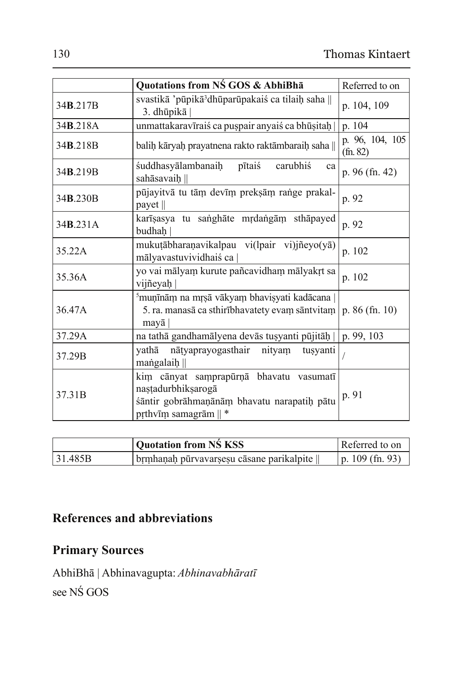|          | Quotations from NS GOS & AbhiBha                                                                                                               | Referred to on                        |
|----------|------------------------------------------------------------------------------------------------------------------------------------------------|---------------------------------------|
| 34B.217B | svastikā 'pūpikā dhūparūpakaiś ca tilaih saha   <br>$3.$ dhūpikā                                                                               | p. 104, 109                           |
| 34B.218A | unmattakaravīrais ca puspair anyais ca bhūsitah                                                                                                | p. 104                                |
| 34B.218B | balih kāryah prayatnena rakto raktāmbaraih saha                                                                                                | p. 96, 104, 105<br>$(\text{fn. } 82)$ |
| 34B.219B | śuddhasyālambanaiḥ<br>pītaiś<br>carubhiś<br>ca<br>sahāsavaih                                                                                   | p. 96 (fn. 42)                        |
| 34B.230B | pūjayitvā tu tām devīm preksām range prakal-<br>payet $\parallel$                                                                              | p. 92                                 |
| 34B.231A | karīsasya tu sanghāte mŗdangām sthāpayed<br>budhah                                                                                             | p. 92                                 |
| 35.22A   | mukutābharanavikalpau vi(lpair vi)jñeyo(yā)<br>mālyavastuvividhaiś ca                                                                          | p. 102                                |
| 35.36A   | yo vai mālyam kurute pañcavidham mālyakrt sa<br>vijñeyah                                                                                       | p. 102                                |
| 36.47A   | <sup>5</sup> muņīnām na mrsā vākyam bhavisyati kadācana  <br>5. ra. manasā ca sthirībhavatety evam sāntvitam   p. 86 (fn. 10)<br>mayā          |                                       |
| 37.29A   | na tathā gandhamālyena devās tusyanti pūjitāh                                                                                                  | p. 99, 103                            |
| 37.29B   | nātyaprayogasthair<br>nityam<br>yathā<br>tusyanti<br>mangalaih $\parallel$                                                                     |                                       |
| 37.31B   | kim cānyat samprapūrņā bhavatu vasumatī<br>nașțadurbhikșarogā<br>śāntir gobrāhmaņānām bhavatu narapatiņ pātu<br>prthvīm samagrām $\parallel$ * | p. 91                                 |

|         | Quotation from NS KSS                                    | Referred to on     |
|---------|----------------------------------------------------------|--------------------|
| 31.485B | $\vert$ brmhanah pūrvavarsesu cāsane parikalpite $\Vert$ | $ p. 109$ (fn. 93) |

# **References and abbreviations**

# **Primary Sources**

AbhiBha | Abhinavagupta: Abhinavabhāratī see NŚ GOS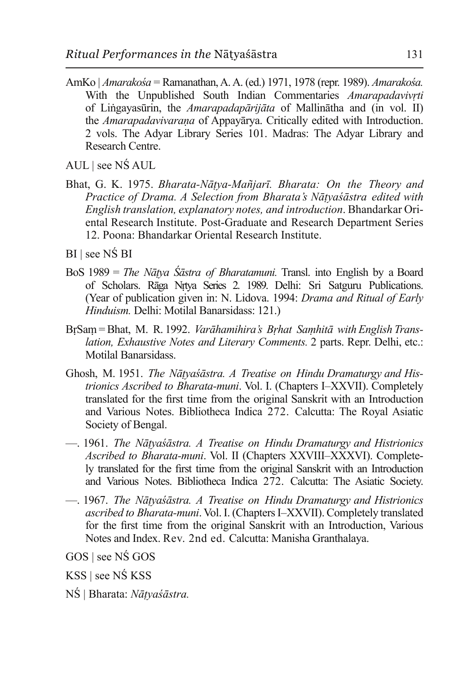AmKo | Amarakośa = Ramanathan, A. A. (ed.) 1971, 1978 (repr. 1989). Amarakośa. With the Unpublished South Indian Commentaries *Amarapadavivrti* of Lingayasūrin, the *Amarapadapārijāta* of Mallinātha and (in vol. II) the *Amarapadavivarana* of Appayarya. Critically edited with Introduction. 2 vols. The Adyar Library Series 101. Madras: The Adyar Library and Research Centre.

AUL | see NS AUL

Bhat, G. K. 1975. Bharata-Nātya-Mañjarī. Bharata: On the Theory and Practice of Drama, A Selection from Bharata's Nātvasāstra edited with English translation, explanatory notes, and introduction. Bhandarkar Oriental Research Institute. Post-Graduate and Research Department Series 12. Poona: Bhandarkar Oriental Research Institute.

 $BI$  | see NS BI

- BoS 1989 = The Nātya Śāstra of Bharatamuni. Transl. into English by a Board of Scholars. Rāga Nitva Series 2. 1989. Delhi: Sri Satguru Publications. (Year of publication given in: N. Lidova. 1994: *Drama and Ritual of Early* Hinduism. Delhi: Motilal Banarsidass: 121.)
- BrSam = Bhat, M. R. 1992. Varāhamihira's Brhat Samhitā with English Translation, Exhaustive Notes and Literary Comments. 2 parts. Repr. Delhi, etc.: **Motilal Banarsidass.**
- Ghosh, M. 1951. The Nātyasastra. A Treatise on Hindu Dramaturgy and Histrionics Ascribed to Bharata-muni. Vol. I. (Chapters I–XXVII). Completely translated for the first time from the original Sanskrit with an Introduction and Various Notes. Bibliotheca Indica 272. Calcutta: The Royal Asiatic Society of Bengal.
- 1961. The Nātyasāstra. A Treatise on Hindu Dramaturgy and Histrionics Ascribed to Bharata-muni. Vol. II (Chapters XXVIII–XXXVI). Completely translated for the first time from the original Sanskrit with an Introduction and Various Notes. Bibliotheca Indica 272. Calcutta: The Asiatic Society.
- 1967. The Nātyas astra. A Treatise on Hindu Dramaturgy and Histrionics ascribed to Bharata-muni. Vol. I. (Chapters I-XXVII). Completely translated for the first time from the original Sanskrit with an Introduction, Various Notes and Index. Rev. 2nd ed. Calcutta: Manisha Granthalaya.
- $GOS$  | see NS  $GOS$
- KSS | see NŚ KSS
- NŚ | Bharata: Nātvaśāstra.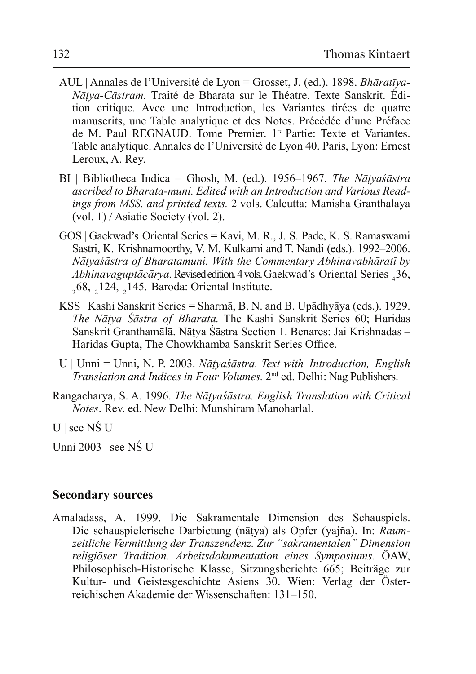- AUL | Annales de l'Université de Lyon = Grosset, J. (ed.). 1898. Bhāratīya-*Nātva-Cāstram.* Traité de Bharata sur le Théatre. Texte Sanskrit. Édition critique. Avec une Introduction, les Variantes tirées de quatre manuscrits, une Table analytique et des Notes. Précédée d'une Préface de M. Paul REGNAUD. Tome Premier. 1<sup>re</sup> Partie: Texte et Variantes. Table analytique. Annales de l'Université de Lyon 40. Paris, Lyon: Ernest Leroux, A. Rey.
- BI | Bibliotheca Indica = Ghosh, M. (ed.). 1956–1967. The Nātyasastra ascribed to Bharata-muni. Edited with an Introduction and Various Readings from MSS. and printed texts. 2 vols. Calcutta: Manisha Granthalaya (vol. 1) / Asiatic Society (vol. 2).
- GOS | Gaekwad's Oriental Series = Kavi, M. R., J. S. Pade, K. S. Ramaswami Sastri, K. Krishnamoorthy, V. M. Kulkarni and T. Nandi (eds.). 1992–2006. Nātyasāstra of Bharatamuni. With the Commentary Abhinavabhāratī by Abhinavaguptācārya. Revised edition. 4 vols. Gaekwad's Oriental Series  $_4$ 36,  $268$ ,  $2124$ ,  $2145$ . Baroda: Oriental Institute.
- KSS | Kashi Sanskrit Series = Sharmā, B. N. and B. Upādhyāya (eds.). 1929. The Nātya Śāstra of Bharata. The Kashi Sanskrit Series 60; Haridas Sanskrit Granthamālā. Nātva Śāstra Section 1. Benares: Jai Krishnadas -Haridas Gupta, The Chowkhamba Sanskrit Series Office.
- U | Unni = Unni, N. P. 2003. Nātyasāstra. Text with Introduction, English Translation and Indices in Four Volumes. 2<sup>nd</sup> ed. Delhi: Nag Publishers.
- Rangacharya, S. A. 1996. The Nātyaśāstra. English Translation with Critical *Notes* Rev ed New Delhi: Munshiram Manoharlal
- $U$  | see NS U
- Unni 2003 | see NS U

#### **Secondary sources**

Amaladass, A. 1999. Die Sakramentale Dimension des Schauspiels. Die schauspielerische Darbietung (nātya) als Opfer (vajña). In: Raumzeitliche Vermittlung der Transzendenz. Zur "sakramentalen" Dimension religiöser Tradition. Arbeitsdokumentation eines Symposiums. ÖAW. Philosophisch-Historische Klasse, Sitzungsberichte 665; Beiträge zur Kultur- und Geistesgeschichte Asiens 30. Wien: Verlag der Österreichischen Akademie der Wissenschaften: 131–150.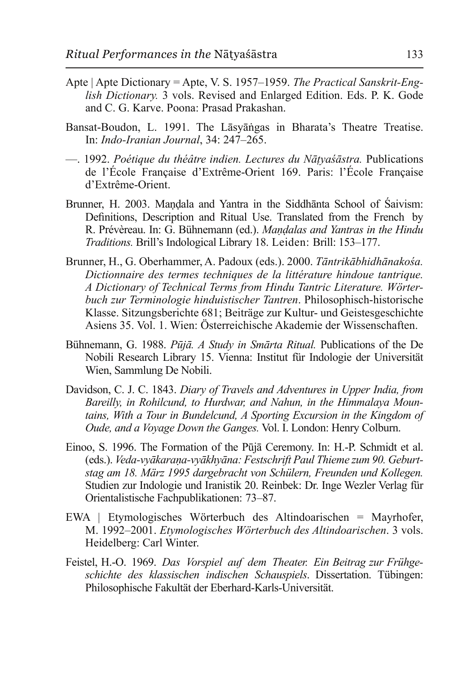- Apte | Apte Dictionary = Apte, V. S. 1957–1959. The Practical Sanskrit-English Dictionary. 3 vols. Revised and Enlarged Edition. Eds. P. K. Gode and C. G. Karve, Poona: Prasad Prakashan.
- Bansat-Boudon, L. 1991. The Lāsyāngas in Bharata's Theatre Treatise. In: *Indo-Iranian Journal*, 34: 247–265.
- 1992. Poétique du théâtre indien. Lectures du Nātyasāstra. Publications de l'École Française d'Extrême-Orient 169. Paris: l'École Française d'Extrême-Orient
- Brunner, H. 2003. Mandala and Yantra in the Siddhanta School of Saivism: Definitions, Description and Ritual Use. Translated from the French by R. Prévèreau. In: G. Bühnemann (ed.). Mandalas and Yantras in the Hindu Traditions. Brill's Indological Library 18. Leiden: Brill: 153-177.
- Brunner, H., G. Oberhammer, A. Padoux (eds.). 2000. Tāntrikābhidhānakośa. Dictionnaire des termes techniques de la littérature hindoue tantrique. A Dictionary of Technical Terms from Hindu Tantric Literature. Wörterbuch zur Terminologie hinduistischer Tantren. Philosophisch-historische Klasse. Sitzungsberichte 681; Beiträge zur Kultur- und Geistesgeschichte Asiens 35, Vol. 1, Wien: Österreichische Akademie der Wissenschaften.
- Bühnemann, G. 1988. Pūjā. A Study in Smārta Ritual. Publications of the De Nobili Research Library 15. Vienna: Institut für Indologie der Universität Wien, Sammlung De Nobili.
- Davidson, C. J. C. 1843. Diary of Travels and Adventures in Upper India, from Bareilly, in Rohilcund, to Hurdwar, and Nahun, in the Himmalaya Mountains, With a Tour in Bundelcund, A Sporting Excursion in the Kingdom of Oude, and a Voyage Down the Ganges. Vol. I. London: Henry Colburn.
- Einoo, S. 1996. The Formation of the Pūjā Ceremony. In: H.-P. Schmidt et al. (eds.). Veda-vvākarana-vvākhvāna: Festschrift Paul Thieme zum 90. Geburtstag am 18. März 1995 dargebracht von Schülern, Freunden und Kollegen. Studien zur Indologie und Iranistik 20. Reinbek: Dr. Inge Wezler Verlag für Orientalistische Fachpublikationen: 73–87.
- EWA | Etymologisches Wörterbuch des Altindoarischen = Mayrhofer, M. 1992–2001. Etymologisches Wörterbuch des Altindoarischen. 3 vols. Heidelberg: Carl Winter.
- Feistel, H.-O. 1969. Das Vorspiel auf dem Theater. Ein Beitrag zur Frühgeschichte des klassischen indischen Schauspiels. Dissertation. Tübingen: Philosophische Fakultät der Eberhard-Karls-Universität.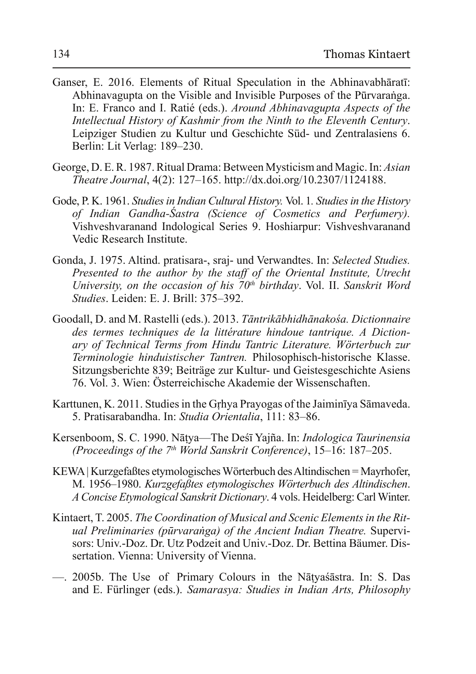- Ganser, E. 2016. Elements of Ritual Speculation in the Abhinavabharati: Abhinavagupta on the Visible and Invisible Purposes of the Pūrvaranga. In: E. Franco and I. Ratié (eds.). Around Abhinavagupta Aspects of the Intellectual History of Kashmir from the Ninth to the Eleventh Century. Leipziger Studien zu Kultur und Geschichte Süd- und Zentralasiens 6. Berlin: Lit Verlag: 189-230.
- George, D. E. R. 1987. Ritual Drama: Between Mysticism and Magic. In: Asian *Theatre Journal*, 4(2): 127–165. http://dx.doi.org/10.2307/1124188.
- Gode, P. K. 1961. Studies in Indian Cultural History. Vol. 1. Studies in the History of Indian Gandha-Sastra (Science of Cosmetics and Perfumery). Vishveshvaranand Indological Series 9. Hoshiarpur: Vishveshvaranand Vedic Research Institute.
- Gonda, J. 1975. Altind. pratisara-, sraj- und Verwandtes. In: Selected Studies. Presented to the author by the staff of the Oriental Institute, Utrecht University, on the occasion of his  $70<sup>th</sup>$  birthday. Vol. II. Sanskrit Word *Studies*, Leiden: E. J. Brill: 375–392.
- Goodall, D. and M. Rastelli (eds.). 2013. Tāntrikābhidhānakośa. Dictionnaire des termes techniques de la littérature hindoue tantrique. A Dictionary of Technical Terms from Hindu Tantric Literature. Wörterbuch zur Terminologie hinduistischer Tantren. Philosophisch-historische Klasse. Sitzungsberichte 839; Beiträge zur Kultur- und Geistesgeschichte Asiens 76. Vol. 3. Wien: Österreichische Akademie der Wissenschaften.
- Karttunen, K. 2011. Studies in the Grhya Prayogas of the Jaiminiya Sāmaveda. 5. Pratisarabandha. In: Studia Orientalia, 111: 83-86.
- Kersenboom, S. C. 1990. Nātya—The Deśī Yajña. In: *Indologica Taurinensia* (Proceedings of the  $7<sup>th</sup>$  World Sanskrit Conference),  $15-16$ :  $187-205$ .
- KEWA | Kurzgefaßtes etymologisches Wörterbuch des Altindischen = Mayrhofer, M. 1956–1980. Kurzgefaßtes etymologisches Wörterbuch des Altindischen. A Concise Etymological Sanskrit Dictionary. 4 vols. Heidelberg: Carl Winter.
- Kintaert, T. 2005. The Coordination of Musical and Scenic Elements in the Ritual Preliminaries (pūrvaranga) of the Ancient Indian Theatre. Supervisors: Univ.-Doz. Dr. Utz Podzeit and Univ.-Doz. Dr. Bettina Bäumer. Dissertation. Vienna: University of Vienna.
- 2005b. The Use of Primary Colours in the Natyasastra. In: S. Das and E. Fürlinger (eds.). Samarasya: Studies in Indian Arts, Philosophy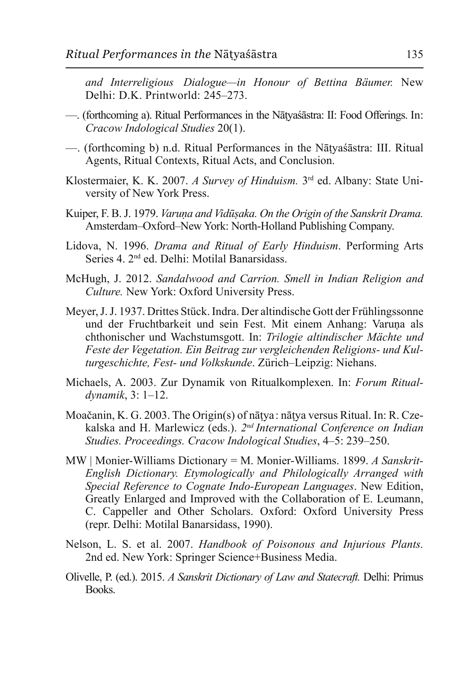and Interreligious Dialogue—in Honour of Bettina Bäumer. New Delhi: D.K. Printworld:  $245-273$ 

- (forthcoming a). Ritual Performances in the Nātyaśāstra: II: Food Offerings. In: Cracow Indological Studies 20(1).
- (forthcoming b) n.d. Ritual Performances in the Nātyas astra: III. Ritual Agents, Ritual Contexts, Ritual Acts, and Conclusion.
- Klostermaier, K. K. 2007. A Survey of Hinduism. 3rd ed. Albany: State University of New York Press.
- Kuiper, F. B. J. 1979. Varuna and Vidūşaka. On the Origin of the Sanskrit Drama. Amsterdam-Oxford-New York: North-Holland Publishing Company.
- Lidova, N. 1996. Drama and Ritual of Early Hinduism. Performing Arts Series 4. 2<sup>nd</sup> ed. Delhi: Motilal Banarsidass.
- McHugh, J. 2012. Sandalwood and Carrion. Smell in Indian Religion and **Culture.** New York: Oxford University Press.
- Meyer, J. J. 1937. Drittes Stück. Indra. Der altindische Gott der Frühlingssonne und der Fruchtbarkeit und sein Fest. Mit einem Anhang: Varuna als chthonischer und Wachstumsgott. In: Trilogie altindischer Mächte und Feste der Vegetation. Ein Beitrag zur vergleichenden Religions- und Kulturgeschichte, Fest- und Volkskunde. Zürich-Leipzig: Niehans.
- Michaels, A. 2003. Zur Dynamik von Ritualkomplexen. In: Forum Ritualdynamik,  $3: 1-12$ .
- Moačanin, K. G. 2003. The Origin(s) of nātya: nātya versus Ritual. In: R. Czekalska and H. Marlewicz (eds.). 2<sup>nd</sup> International Conference on Indian Studies. Proceedings. Cracow Indological Studies, 4–5: 239–250.
- MW | Monier-Williams Dictionary = M. Monier-Williams. 1899. A Sanskrit-English Dictionary. Etymologically and Philologically Arranged with Special Reference to Cognate Indo-European Languages. New Edition, Greatly Enlarged and Improved with the Collaboration of E. Leumann, C. Cappeller and Other Scholars. Oxford: Oxford University Press (repr. Delhi: Motilal Banarsidass, 1990).
- Nelson, L. S. et al. 2007. Handbook of Poisonous and Injurious Plants. 2nd ed. New York: Springer Science+Business Media.
- Olivelle, P. (ed.). 2015. A Sanskrit Dictionary of Law and Statecraft. Delhi: Primus Books.